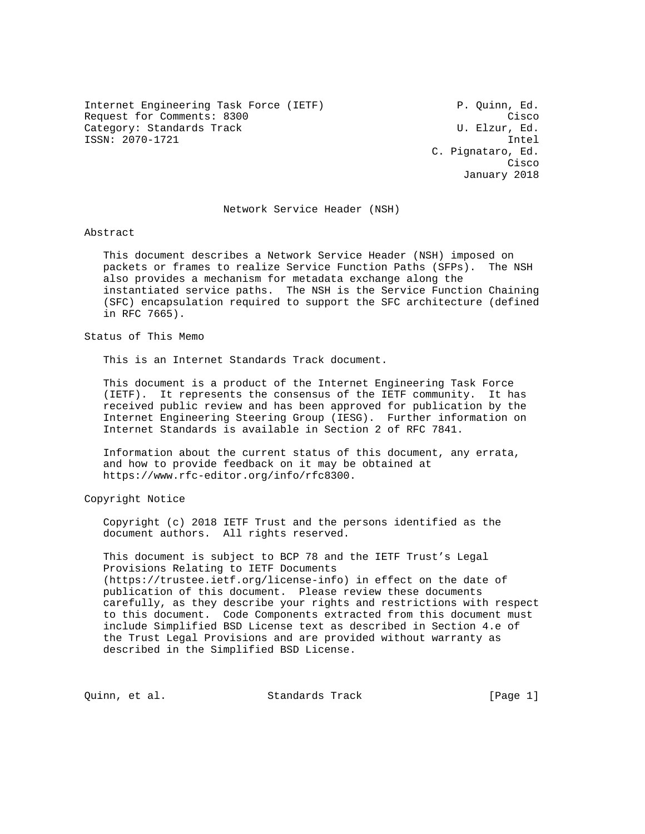Internet Engineering Task Force (IETF) P. Quinn, Ed. Request for Comments: 8300 Cisco Category: Standards Track Category: Standards Track ISSN: 2070-1721 Intel

 C. Pignataro, Ed. **Cisco de la contrata de la contrata de la contrata de la contrata de la contrata de la contrata de la contrat** January 2018

#### Network Service Header (NSH)

Abstract

 This document describes a Network Service Header (NSH) imposed on packets or frames to realize Service Function Paths (SFPs). The NSH also provides a mechanism for metadata exchange along the instantiated service paths. The NSH is the Service Function Chaining (SFC) encapsulation required to support the SFC architecture (defined in RFC 7665).

Status of This Memo

This is an Internet Standards Track document.

 This document is a product of the Internet Engineering Task Force (IETF). It represents the consensus of the IETF community. It has received public review and has been approved for publication by the Internet Engineering Steering Group (IESG). Further information on Internet Standards is available in Section 2 of RFC 7841.

 Information about the current status of this document, any errata, and how to provide feedback on it may be obtained at https://www.rfc-editor.org/info/rfc8300.

Copyright Notice

 Copyright (c) 2018 IETF Trust and the persons identified as the document authors. All rights reserved.

 This document is subject to BCP 78 and the IETF Trust's Legal Provisions Relating to IETF Documents (https://trustee.ietf.org/license-info) in effect on the date of publication of this document. Please review these documents carefully, as they describe your rights and restrictions with respect to this document. Code Components extracted from this document must include Simplified BSD License text as described in Section 4.e of the Trust Legal Provisions and are provided without warranty as described in the Simplified BSD License.

Quinn, et al. Standards Track [Page 1]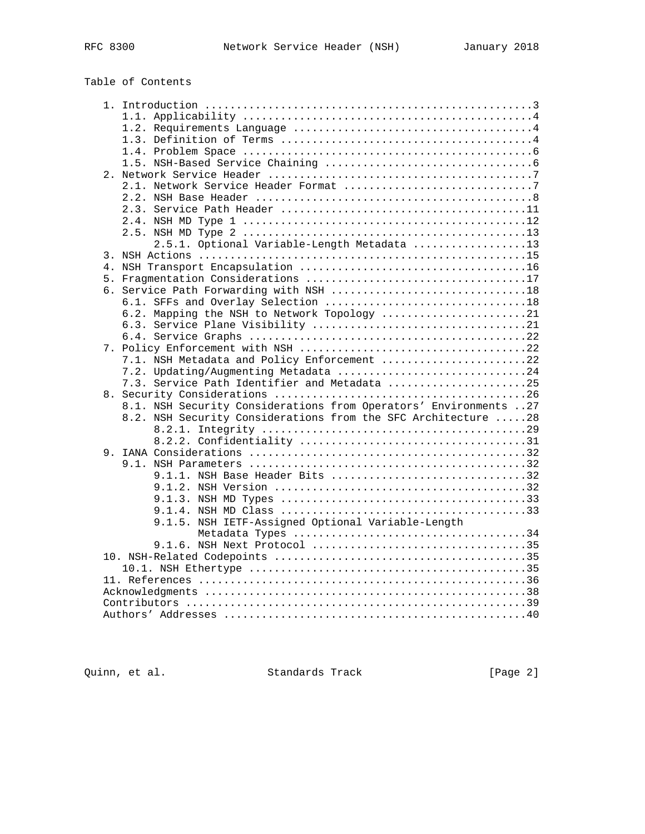# Table of Contents

|  | 2.5.1. Optional Variable-Length Metadata 13                      |  |
|--|------------------------------------------------------------------|--|
|  |                                                                  |  |
|  |                                                                  |  |
|  |                                                                  |  |
|  |                                                                  |  |
|  |                                                                  |  |
|  |                                                                  |  |
|  | 6.2. Mapping the NSH to Network Topology 21                      |  |
|  |                                                                  |  |
|  |                                                                  |  |
|  |                                                                  |  |
|  | 7.1. NSH Metadata and Policy Enforcement 22                      |  |
|  |                                                                  |  |
|  | 7.3. Service Path Identifier and Metadata 25                     |  |
|  |                                                                  |  |
|  | 8.1. NSH Security Considerations from Operators' Environments 27 |  |
|  | 8.2. NSH Security Considerations from the SFC Architecture 28    |  |
|  |                                                                  |  |
|  |                                                                  |  |
|  |                                                                  |  |
|  |                                                                  |  |
|  | 9.1.1. NSH Base Header Bits 32                                   |  |
|  |                                                                  |  |
|  |                                                                  |  |
|  |                                                                  |  |
|  | 9.1.5. NSH IETF-Assigned Optional Variable-Length                |  |
|  |                                                                  |  |
|  |                                                                  |  |
|  |                                                                  |  |
|  |                                                                  |  |
|  |                                                                  |  |
|  |                                                                  |  |
|  |                                                                  |  |
|  |                                                                  |  |
|  |                                                                  |  |

Quinn, et al. Standards Track [Page 2]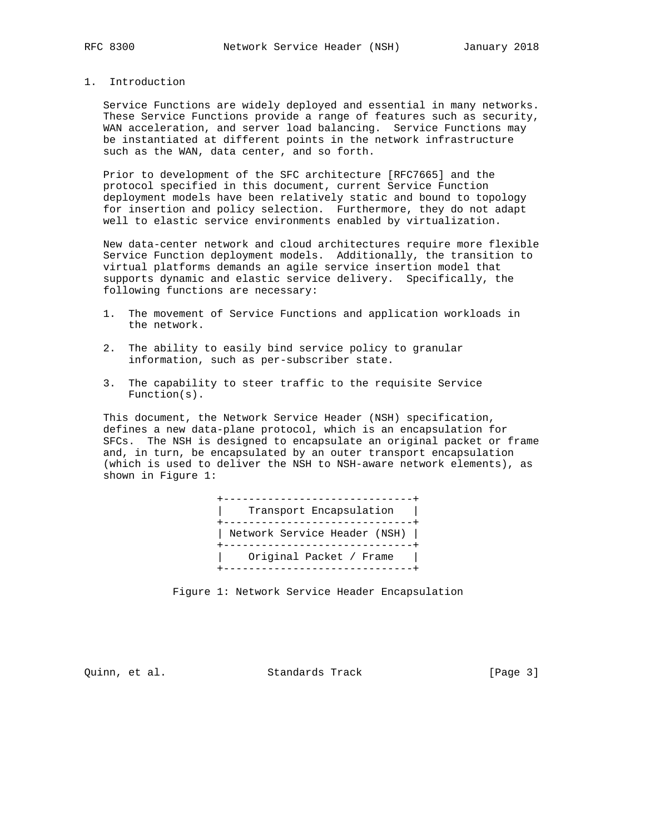#### 1. Introduction

 Service Functions are widely deployed and essential in many networks. These Service Functions provide a range of features such as security, WAN acceleration, and server load balancing. Service Functions may be instantiated at different points in the network infrastructure such as the WAN, data center, and so forth.

 Prior to development of the SFC architecture [RFC7665] and the protocol specified in this document, current Service Function deployment models have been relatively static and bound to topology for insertion and policy selection. Furthermore, they do not adapt well to elastic service environments enabled by virtualization.

 New data-center network and cloud architectures require more flexible Service Function deployment models. Additionally, the transition to virtual platforms demands an agile service insertion model that supports dynamic and elastic service delivery. Specifically, the following functions are necessary:

- 1. The movement of Service Functions and application workloads in the network.
- 2. The ability to easily bind service policy to granular information, such as per-subscriber state.
- 3. The capability to steer traffic to the requisite Service Function(s).

 This document, the Network Service Header (NSH) specification, defines a new data-plane protocol, which is an encapsulation for SFCs. The NSH is designed to encapsulate an original packet or frame and, in turn, be encapsulated by an outer transport encapsulation (which is used to deliver the NSH to NSH-aware network elements), as shown in Figure 1:



Figure 1: Network Service Header Encapsulation

Quinn, et al. Standards Track [Page 3]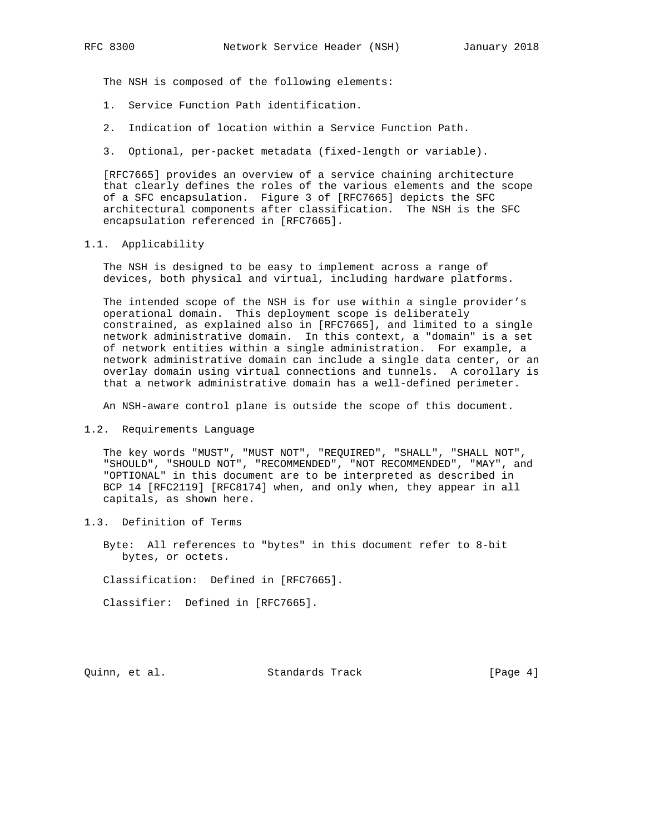The NSH is composed of the following elements:

- 1. Service Function Path identification.
- 2. Indication of location within a Service Function Path.
- 3. Optional, per-packet metadata (fixed-length or variable).

 [RFC7665] provides an overview of a service chaining architecture that clearly defines the roles of the various elements and the scope of a SFC encapsulation. Figure 3 of [RFC7665] depicts the SFC architectural components after classification. The NSH is the SFC encapsulation referenced in [RFC7665].

#### 1.1. Applicability

 The NSH is designed to be easy to implement across a range of devices, both physical and virtual, including hardware platforms.

 The intended scope of the NSH is for use within a single provider's operational domain. This deployment scope is deliberately constrained, as explained also in [RFC7665], and limited to a single network administrative domain. In this context, a "domain" is a set of network entities within a single administration. For example, a network administrative domain can include a single data center, or an overlay domain using virtual connections and tunnels. A corollary is that a network administrative domain has a well-defined perimeter.

An NSH-aware control plane is outside the scope of this document.

1.2. Requirements Language

 The key words "MUST", "MUST NOT", "REQUIRED", "SHALL", "SHALL NOT", "SHOULD", "SHOULD NOT", "RECOMMENDED", "NOT RECOMMENDED", "MAY", and "OPTIONAL" in this document are to be interpreted as described in BCP 14 [RFC2119] [RFC8174] when, and only when, they appear in all capitals, as shown here.

1.3. Definition of Terms

 Byte: All references to "bytes" in this document refer to 8-bit bytes, or octets.

Classification: Defined in [RFC7665].

Classifier: Defined in [RFC7665].

Quinn, et al. Standards Track [Page 4]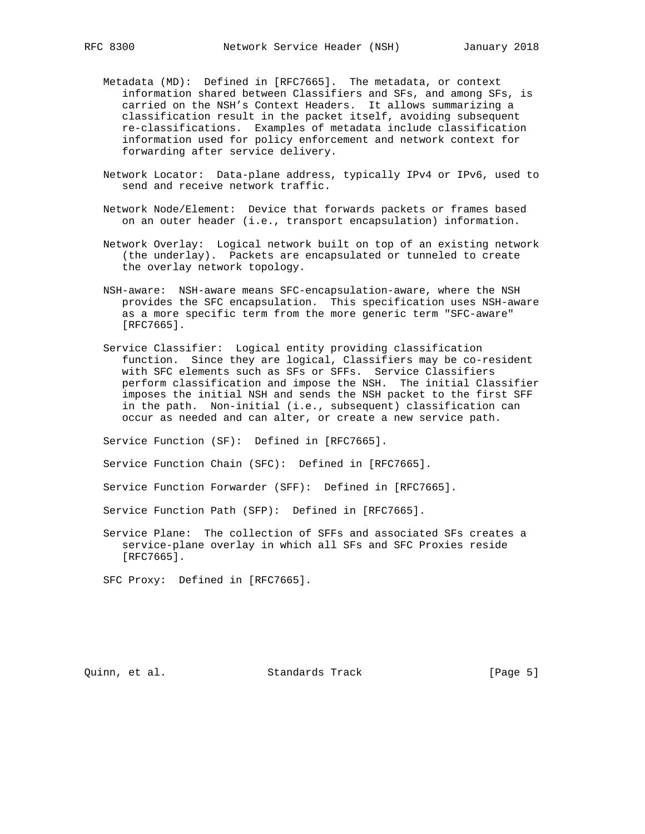- Metadata (MD): Defined in [RFC7665]. The metadata, or context information shared between Classifiers and SFs, and among SFs, is carried on the NSH's Context Headers. It allows summarizing a classification result in the packet itself, avoiding subsequent re-classifications. Examples of metadata include classification information used for policy enforcement and network context for forwarding after service delivery.
- Network Locator: Data-plane address, typically IPv4 or IPv6, used to send and receive network traffic.
- Network Node/Element: Device that forwards packets or frames based on an outer header (i.e., transport encapsulation) information.
- Network Overlay: Logical network built on top of an existing network (the underlay). Packets are encapsulated or tunneled to create the overlay network topology.
- NSH-aware: NSH-aware means SFC-encapsulation-aware, where the NSH provides the SFC encapsulation. This specification uses NSH-aware as a more specific term from the more generic term "SFC-aware" [RFC7665].
- Service Classifier: Logical entity providing classification function. Since they are logical, Classifiers may be co-resident with SFC elements such as SFs or SFFs. Service Classifiers perform classification and impose the NSH. The initial Classifier imposes the initial NSH and sends the NSH packet to the first SFF in the path. Non-initial (i.e., subsequent) classification can occur as needed and can alter, or create a new service path.

Service Function (SF): Defined in [RFC7665].

Service Function Chain (SFC): Defined in [RFC7665].

Service Function Forwarder (SFF): Defined in [RFC7665].

Service Function Path (SFP): Defined in [RFC7665].

 Service Plane: The collection of SFFs and associated SFs creates a service-plane overlay in which all SFs and SFC Proxies reside [RFC7665].

SFC Proxy: Defined in [RFC7665].

Quinn, et al. Standards Track [Page 5]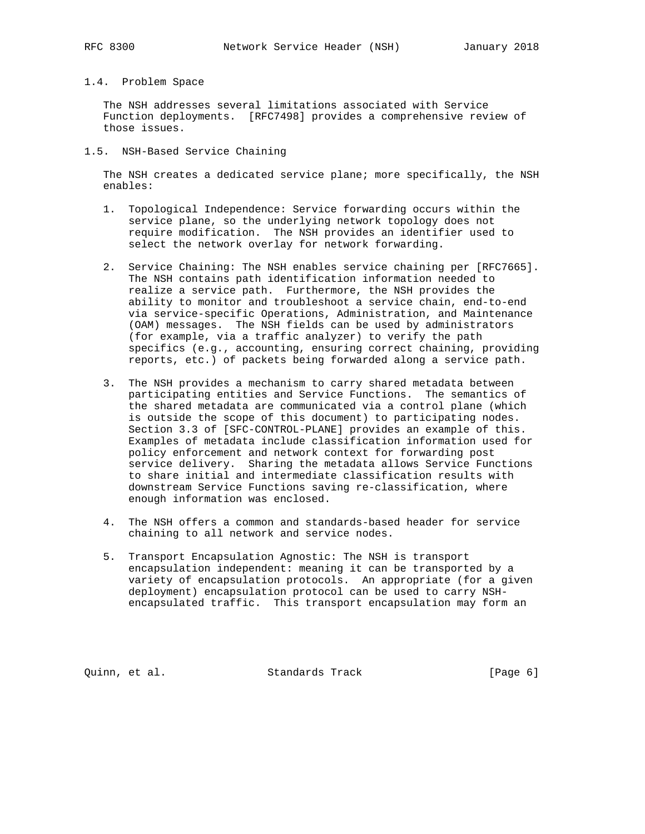### 1.4. Problem Space

 The NSH addresses several limitations associated with Service Function deployments. [RFC7498] provides a comprehensive review of those issues.

1.5. NSH-Based Service Chaining

 The NSH creates a dedicated service plane; more specifically, the NSH enables:

- 1. Topological Independence: Service forwarding occurs within the service plane, so the underlying network topology does not require modification. The NSH provides an identifier used to select the network overlay for network forwarding.
- 2. Service Chaining: The NSH enables service chaining per [RFC7665]. The NSH contains path identification information needed to realize a service path. Furthermore, the NSH provides the ability to monitor and troubleshoot a service chain, end-to-end via service-specific Operations, Administration, and Maintenance (OAM) messages. The NSH fields can be used by administrators (for example, via a traffic analyzer) to verify the path specifics (e.g., accounting, ensuring correct chaining, providing reports, etc.) of packets being forwarded along a service path.
- 3. The NSH provides a mechanism to carry shared metadata between participating entities and Service Functions. The semantics of the shared metadata are communicated via a control plane (which is outside the scope of this document) to participating nodes. Section 3.3 of [SFC-CONTROL-PLANE] provides an example of this. Examples of metadata include classification information used for policy enforcement and network context for forwarding post service delivery. Sharing the metadata allows Service Functions to share initial and intermediate classification results with downstream Service Functions saving re-classification, where enough information was enclosed.
- 4. The NSH offers a common and standards-based header for service chaining to all network and service nodes.
- 5. Transport Encapsulation Agnostic: The NSH is transport encapsulation independent: meaning it can be transported by a variety of encapsulation protocols. An appropriate (for a given deployment) encapsulation protocol can be used to carry NSH encapsulated traffic. This transport encapsulation may form an

Quinn, et al. Standards Track [Page 6]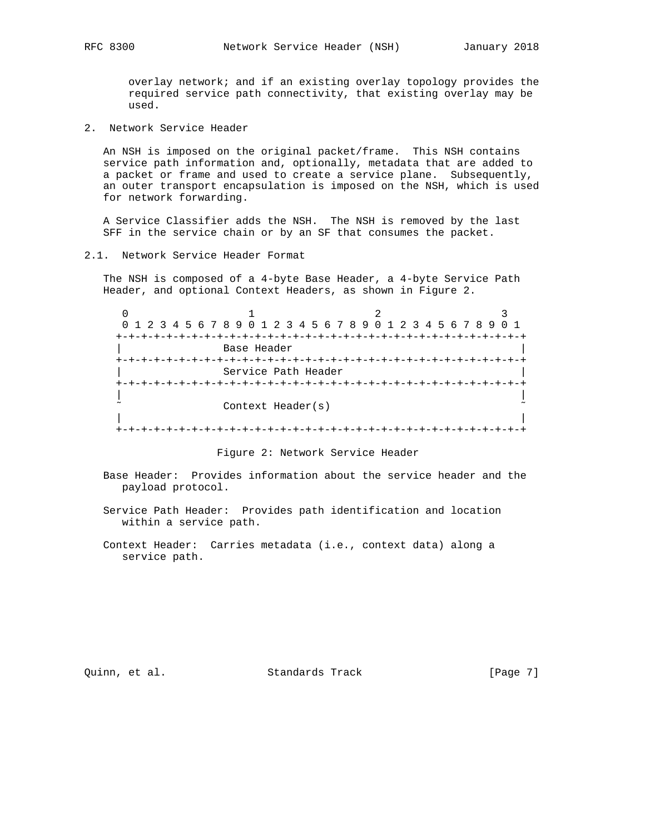overlay network; and if an existing overlay topology provides the required service path connectivity, that existing overlay may be used.

2. Network Service Header

 An NSH is imposed on the original packet/frame. This NSH contains service path information and, optionally, metadata that are added to a packet or frame and used to create a service plane. Subsequently, an outer transport encapsulation is imposed on the NSH, which is used for network forwarding.

 A Service Classifier adds the NSH. The NSH is removed by the last SFF in the service chain or by an SF that consumes the packet.

2.1. Network Service Header Format

 The NSH is composed of a 4-byte Base Header, a 4-byte Service Path Header, and optional Context Headers, as shown in Figure 2.

| 0 1 2 3 4 5 6 7 8 9 0 1 2 3 4 5 6 7 8 9 0 1 2 3 4 5 6 7 8 9 |  |  |
|-------------------------------------------------------------|--|--|
|                                                             |  |  |
| Base Header                                                 |  |  |
|                                                             |  |  |
| Service Path Header                                         |  |  |
|                                                             |  |  |
|                                                             |  |  |
| Context Header(s)                                           |  |  |
|                                                             |  |  |
|                                                             |  |  |

Figure 2: Network Service Header

- Base Header: Provides information about the service header and the payload protocol.
- Service Path Header: Provides path identification and location within a service path.
- Context Header: Carries metadata (i.e., context data) along a service path.

Quinn, et al. Standards Track [Page 7]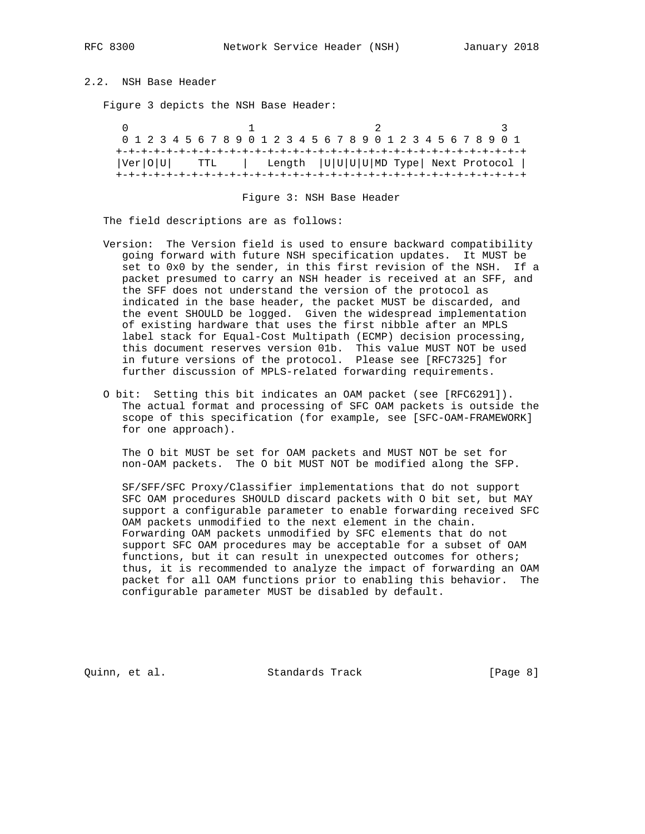2.2. NSH Base Header

Figure 3 depicts the NSH Base Header:

|  | 0 1 2 3 4 5 6 7 8 9 0 1 2 3 4 5 6 7 8 9 0 1 2 3 4 5 6 7 8 9 0 1 |  |
|--|-----------------------------------------------------------------|--|
|  |                                                                 |  |
|  | $ Ver O U $ TTL   Length $ U U U ND$ Type Next Protocol         |  |
|  |                                                                 |  |

Figure 3: NSH Base Header

The field descriptions are as follows:

- Version: The Version field is used to ensure backward compatibility going forward with future NSH specification updates. It MUST be set to 0x0 by the sender, in this first revision of the NSH. If a packet presumed to carry an NSH header is received at an SFF, and the SFF does not understand the version of the protocol as indicated in the base header, the packet MUST be discarded, and the event SHOULD be logged. Given the widespread implementation of existing hardware that uses the first nibble after an MPLS label stack for Equal-Cost Multipath (ECMP) decision processing, this document reserves version 01b. This value MUST NOT be used in future versions of the protocol. Please see [RFC7325] for further discussion of MPLS-related forwarding requirements.
- O bit: Setting this bit indicates an OAM packet (see [RFC6291]). The actual format and processing of SFC OAM packets is outside the scope of this specification (for example, see [SFC-OAM-FRAMEWORK] for one approach).

 The O bit MUST be set for OAM packets and MUST NOT be set for non-OAM packets. The O bit MUST NOT be modified along the SFP.

 SF/SFF/SFC Proxy/Classifier implementations that do not support SFC OAM procedures SHOULD discard packets with O bit set, but MAY support a configurable parameter to enable forwarding received SFC OAM packets unmodified to the next element in the chain. Forwarding OAM packets unmodified by SFC elements that do not support SFC OAM procedures may be acceptable for a subset of OAM functions, but it can result in unexpected outcomes for others; thus, it is recommended to analyze the impact of forwarding an OAM packet for all OAM functions prior to enabling this behavior. The configurable parameter MUST be disabled by default.

Quinn, et al. Standards Track [Page 8]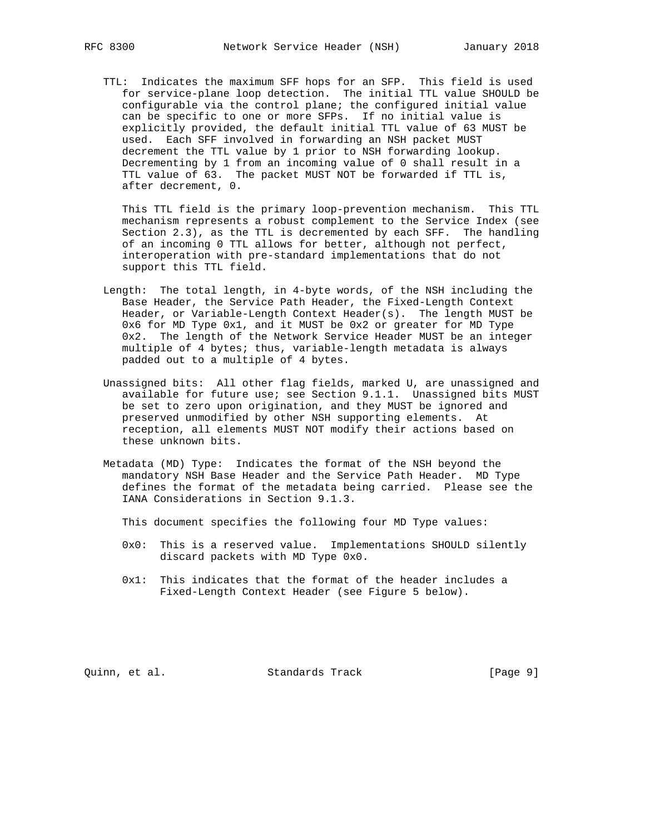TTL: Indicates the maximum SFF hops for an SFP. This field is used for service-plane loop detection. The initial TTL value SHOULD be configurable via the control plane; the configured initial value can be specific to one or more SFPs. If no initial value is explicitly provided, the default initial TTL value of 63 MUST be used. Each SFF involved in forwarding an NSH packet MUST decrement the TTL value by 1 prior to NSH forwarding lookup. Decrementing by 1 from an incoming value of 0 shall result in a TTL value of 63. The packet MUST NOT be forwarded if TTL is, after decrement, 0.

 This TTL field is the primary loop-prevention mechanism. This TTL mechanism represents a robust complement to the Service Index (see Section 2.3), as the TTL is decremented by each SFF. The handling of an incoming 0 TTL allows for better, although not perfect, interoperation with pre-standard implementations that do not support this TTL field.

- Length: The total length, in 4-byte words, of the NSH including the Base Header, the Service Path Header, the Fixed-Length Context Header, or Variable-Length Context Header(s). The length MUST be 0x6 for MD Type 0x1, and it MUST be 0x2 or greater for MD Type 0x2. The length of the Network Service Header MUST be an integer multiple of 4 bytes; thus, variable-length metadata is always padded out to a multiple of 4 bytes.
- Unassigned bits: All other flag fields, marked U, are unassigned and available for future use; see Section 9.1.1. Unassigned bits MUST be set to zero upon origination, and they MUST be ignored and preserved unmodified by other NSH supporting elements. At reception, all elements MUST NOT modify their actions based on these unknown bits.
- Metadata (MD) Type: Indicates the format of the NSH beyond the mandatory NSH Base Header and the Service Path Header. MD Type defines the format of the metadata being carried. Please see the IANA Considerations in Section 9.1.3.
	- This document specifies the following four MD Type values:
	- 0x0: This is a reserved value. Implementations SHOULD silently discard packets with MD Type 0x0.
	- 0x1: This indicates that the format of the header includes a Fixed-Length Context Header (see Figure 5 below).

Quinn, et al. Standards Track [Page 9]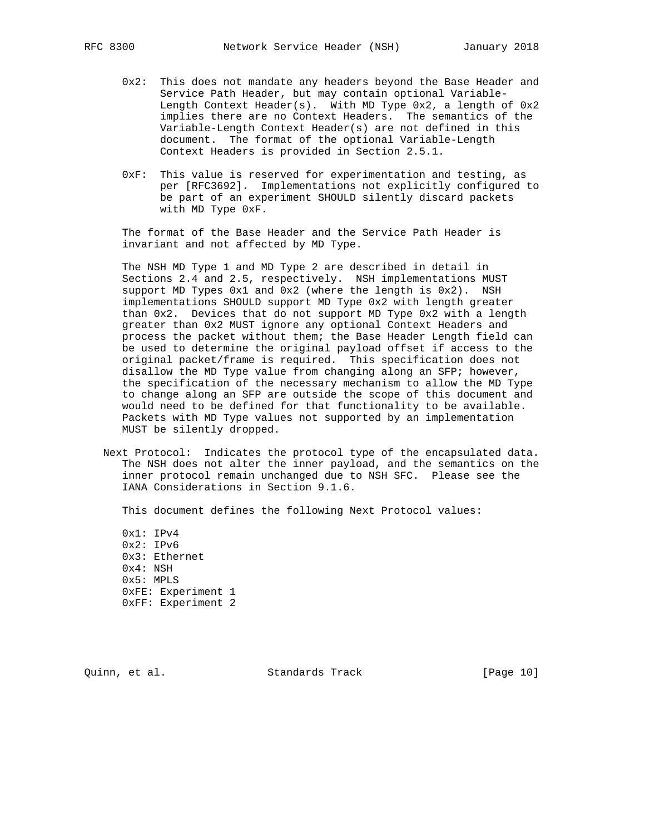- 0x2: This does not mandate any headers beyond the Base Header and Service Path Header, but may contain optional Variable- Length Context Header(s). With MD Type 0x2, a length of 0x2 implies there are no Context Headers. The semantics of the Variable-Length Context Header(s) are not defined in this document. The format of the optional Variable-Length Context Headers is provided in Section 2.5.1.
- 0xF: This value is reserved for experimentation and testing, as per [RFC3692]. Implementations not explicitly configured to be part of an experiment SHOULD silently discard packets with MD Type 0xF.

 The format of the Base Header and the Service Path Header is invariant and not affected by MD Type.

 The NSH MD Type 1 and MD Type 2 are described in detail in Sections 2.4 and 2.5, respectively. NSH implementations MUST support MD Types 0x1 and 0x2 (where the length is 0x2). NSH implementations SHOULD support MD Type 0x2 with length greater than 0x2. Devices that do not support MD Type 0x2 with a length greater than 0x2 MUST ignore any optional Context Headers and process the packet without them; the Base Header Length field can be used to determine the original payload offset if access to the original packet/frame is required. This specification does not disallow the MD Type value from changing along an SFP; however, the specification of the necessary mechanism to allow the MD Type to change along an SFP are outside the scope of this document and would need to be defined for that functionality to be available. Packets with MD Type values not supported by an implementation MUST be silently dropped.

 Next Protocol: Indicates the protocol type of the encapsulated data. The NSH does not alter the inner payload, and the semantics on the inner protocol remain unchanged due to NSH SFC. Please see the IANA Considerations in Section 9.1.6.

This document defines the following Next Protocol values:

 0x1: IPv4 0x2: IPv6 0x3: Ethernet 0x4: NSH 0x5: MPLS 0xFE: Experiment 1 0xFF: Experiment 2

Quinn, et al. Standards Track [Page 10]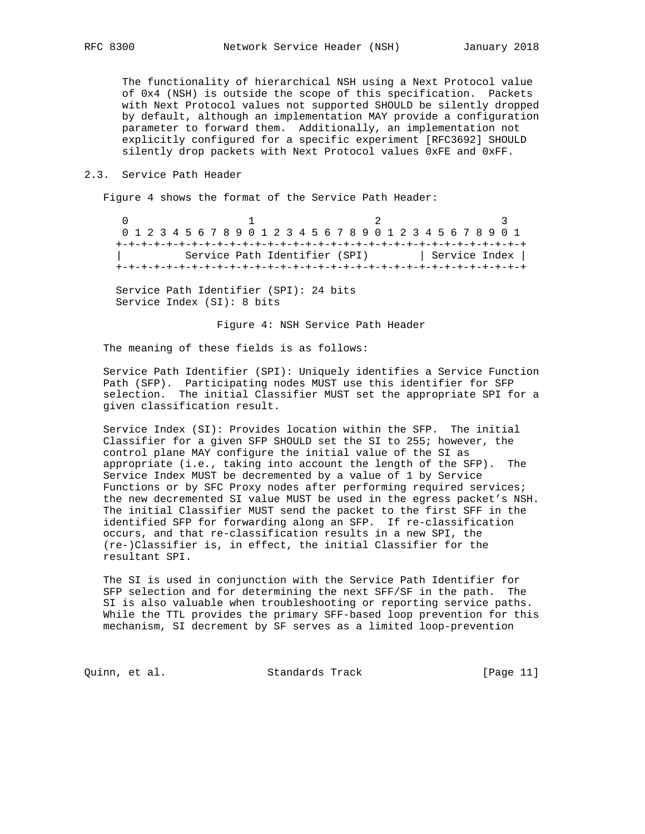The functionality of hierarchical NSH using a Next Protocol value of 0x4 (NSH) is outside the scope of this specification. Packets with Next Protocol values not supported SHOULD be silently dropped by default, although an implementation MAY provide a configuration parameter to forward them. Additionally, an implementation not explicitly configured for a specific experiment [RFC3692] SHOULD silently drop packets with Next Protocol values 0xFE and 0xFF.

#### 2.3. Service Path Header

Figure 4 shows the format of the Service Path Header:

 $0$  and  $1$  and  $2$  3 0 1 2 3 4 5 6 7 8 9 0 1 2 3 4 5 6 7 8 9 0 1 2 3 4 5 6 7 8 9 0 1 +-+-+-+-+-+-+-+-+-+-+-+-+-+-+-+-+-+-+-+-+-+-+-+-+-+-+-+-+-+-+-+-+ Service Path Identifier (SPI) | Service Index | +-+-+-+-+-+-+-+-+-+-+-+-+-+-+-+-+-+-+-+-+-+-+-+-+-+-+-+-+-+-+-+-+

 Service Path Identifier (SPI): 24 bits Service Index (SI): 8 bits

Figure 4: NSH Service Path Header

The meaning of these fields is as follows:

 Service Path Identifier (SPI): Uniquely identifies a Service Function Path (SFP). Participating nodes MUST use this identifier for SFP selection. The initial Classifier MUST set the appropriate SPI for a given classification result.

 Service Index (SI): Provides location within the SFP. The initial Classifier for a given SFP SHOULD set the SI to 255; however, the control plane MAY configure the initial value of the SI as appropriate (i.e., taking into account the length of the SFP). The Service Index MUST be decremented by a value of 1 by Service Functions or by SFC Proxy nodes after performing required services; the new decremented SI value MUST be used in the egress packet's NSH. The initial Classifier MUST send the packet to the first SFF in the identified SFP for forwarding along an SFP. If re-classification occurs, and that re-classification results in a new SPI, the (re-)Classifier is, in effect, the initial Classifier for the resultant SPI.

 The SI is used in conjunction with the Service Path Identifier for SFP selection and for determining the next SFF/SF in the path. The SI is also valuable when troubleshooting or reporting service paths. While the TTL provides the primary SFF-based loop prevention for this mechanism, SI decrement by SF serves as a limited loop-prevention

Quinn, et al. Standards Track [Page 11]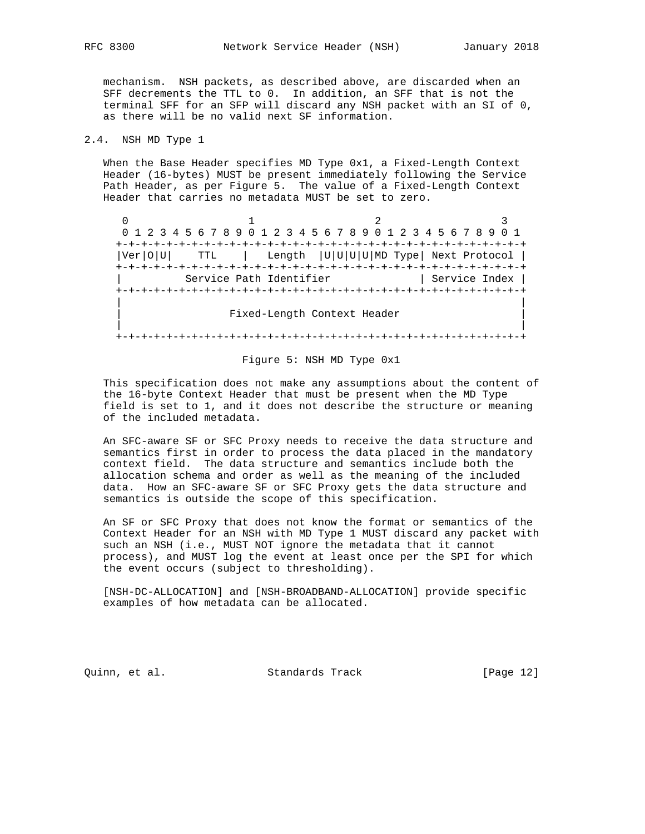mechanism. NSH packets, as described above, are discarded when an SFF decrements the TTL to 0. In addition, an SFF that is not the terminal SFF for an SFP will discard any NSH packet with an SI of 0, as there will be no valid next SF information.

## 2.4. NSH MD Type 1

 When the Base Header specifies MD Type 0x1, a Fixed-Length Context Header (16-bytes) MUST be present immediately following the Service Path Header, as per Figure 5. The value of a Fixed-Length Context Header that carries no metadata MUST be set to zero.

 $0$  and  $1$  and  $2$  3 0 1 2 3 4 5 6 7 8 9 0 1 2 3 4 5 6 7 8 9 0 1 2 3 4 5 6 7 8 9 0 1 +-+-+-+-+-+-+-+-+-+-+-+-+-+-+-+-+-+-+-+-+-+-+-+-+-+-+-+-+-+-+-+-+ |Ver|O|U| TTL | Length |U|U|U|U|MD Type| Next Protocol | +-+-+-+-+-+-+-+-+-+-+-+-+-+-+-+-+-+-+-+-+-+-+-+-+-+-+-+-+-+-+-+-+ Service Path Identifier | Service Index | +-+-+-+-+-+-+-+-+-+-+-+-+-+-+-+-+-+-+-+-+-+-+-+-+-+-+-+-+-+-+-+-+ | | Fixed-Length Context Header | | +-+-+-+-+-+-+-+-+-+-+-+-+-+-+-+-+-+-+-+-+-+-+-+-+-+-+-+-+-+-+-+-+

#### Figure 5: NSH MD Type 0x1

 This specification does not make any assumptions about the content of the 16-byte Context Header that must be present when the MD Type field is set to 1, and it does not describe the structure or meaning of the included metadata.

 An SFC-aware SF or SFC Proxy needs to receive the data structure and semantics first in order to process the data placed in the mandatory context field. The data structure and semantics include both the allocation schema and order as well as the meaning of the included data. How an SFC-aware SF or SFC Proxy gets the data structure and semantics is outside the scope of this specification.

 An SF or SFC Proxy that does not know the format or semantics of the Context Header for an NSH with MD Type 1 MUST discard any packet with such an NSH (i.e., MUST NOT ignore the metadata that it cannot process), and MUST log the event at least once per the SPI for which the event occurs (subject to thresholding).

 [NSH-DC-ALLOCATION] and [NSH-BROADBAND-ALLOCATION] provide specific examples of how metadata can be allocated.

Quinn, et al. Standards Track [Page 12]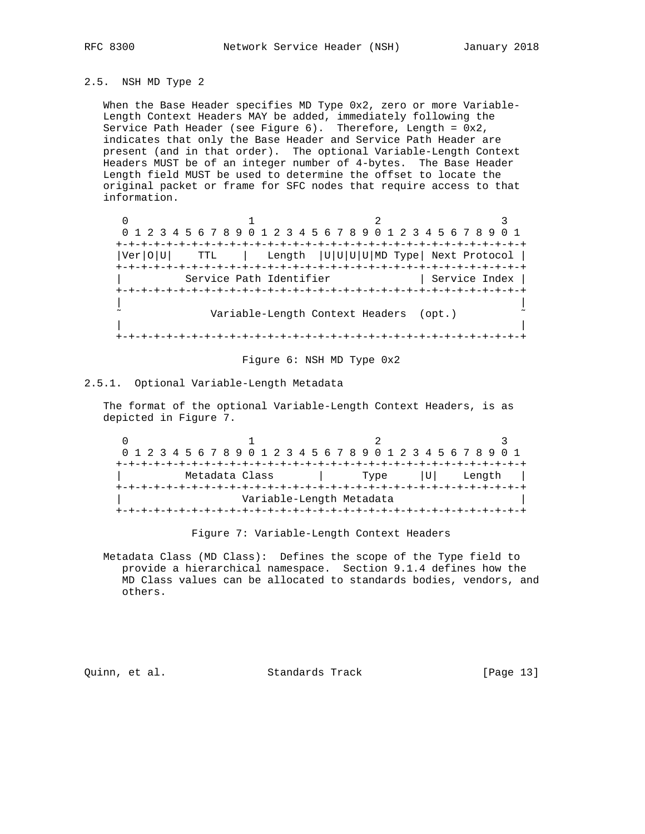### 2.5. NSH MD Type 2

 When the Base Header specifies MD Type 0x2, zero or more Variable- Length Context Headers MAY be added, immediately following the Service Path Header (see Figure 6). Therefore, Length = 0x2, indicates that only the Base Header and Service Path Header are present (and in that order). The optional Variable-Length Context Headers MUST be of an integer number of 4-bytes. The Base Header Length field MUST be used to determine the offset to locate the original packet or frame for SFC nodes that require access to that information.

 $0$  and  $1$  and  $2$  3 0 1 2 3 4 5 6 7 8 9 0 1 2 3 4 5 6 7 8 9 0 1 2 3 4 5 6 7 8 9 0 1 +-+-+-+-+-+-+-+-+-+-+-+-+-+-+-+-+-+-+-+-+-+-+-+-+-+-+-+-+-+-+-+-+ |Ver|O|U| TTL | Length |U|U|U|U|MD Type| Next Protocol | +-+-+-+-+-+-+-+-+-+-+-+-+-+-+-+-+-+-+-+-+-+-+-+-+-+-+-+-+-+-+-+-+ Service Path Identifier | Service Index | +-+-+-+-+-+-+-+-+-+-+-+-+-+-+-+-+-+-+-+-+-+-+-+-+-+-+-+-+-+-+-+-+ | | Variable-Length Context Headers (opt.) | | +-+-+-+-+-+-+-+-+-+-+-+-+-+-+-+-+-+-+-+-+-+-+-+-+-+-+-+-+-+-+-+-+

#### Figure 6: NSH MD Type 0x2

## 2.5.1. Optional Variable-Length Metadata

 The format of the optional Variable-Length Context Headers, is as depicted in Figure 7.

 $0$  and  $1$  and  $2$  3 0 1 2 3 4 5 6 7 8 9 0 1 2 3 4 5 6 7 8 9 0 1 2 3 4 5 6 7 8 9 0 1 +-+-+-+-+-+-+-+-+-+-+-+-+-+-+-+-+-+-+-+-+-+-+-+-+-+-+-+-+-+-+-+-+ | Metadata Class | Type |U| Length | +-+-+-+-+-+-+-+-+-+-+-+-+-+-+-+-+-+-+-+-+-+-+-+-+-+-+-+-+-+-+-+-+ Variable-Length Metadata +-+-+-+-+-+-+-+-+-+-+-+-+-+-+-+-+-+-+-+-+-+-+-+-+-+-+-+-+-+-+-+-+

Figure 7: Variable-Length Context Headers

 Metadata Class (MD Class): Defines the scope of the Type field to provide a hierarchical namespace. Section 9.1.4 defines how the MD Class values can be allocated to standards bodies, vendors, and others.

Quinn, et al. Standards Track [Page 13]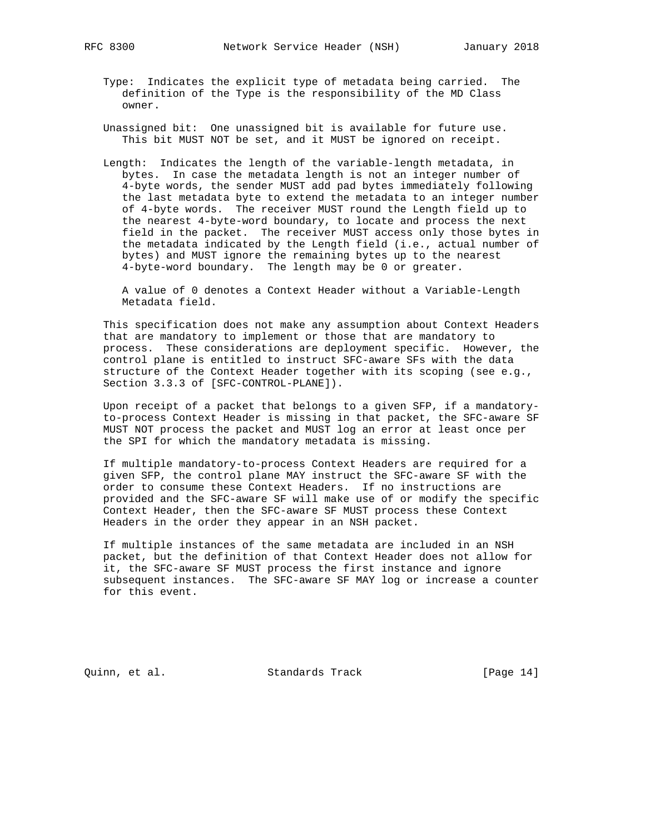- Type: Indicates the explicit type of metadata being carried. The definition of the Type is the responsibility of the MD Class owner.
- Unassigned bit: One unassigned bit is available for future use. This bit MUST NOT be set, and it MUST be ignored on receipt.
- Length: Indicates the length of the variable-length metadata, in bytes. In case the metadata length is not an integer number of 4-byte words, the sender MUST add pad bytes immediately following the last metadata byte to extend the metadata to an integer number of 4-byte words. The receiver MUST round the Length field up to the nearest 4-byte-word boundary, to locate and process the next field in the packet. The receiver MUST access only those bytes in the metadata indicated by the Length field (i.e., actual number of bytes) and MUST ignore the remaining bytes up to the nearest 4-byte-word boundary. The length may be 0 or greater.

 A value of 0 denotes a Context Header without a Variable-Length Metadata field.

 This specification does not make any assumption about Context Headers that are mandatory to implement or those that are mandatory to process. These considerations are deployment specific. However, the control plane is entitled to instruct SFC-aware SFs with the data structure of the Context Header together with its scoping (see e.g., Section 3.3.3 of [SFC-CONTROL-PLANE]).

 Upon receipt of a packet that belongs to a given SFP, if a mandatory to-process Context Header is missing in that packet, the SFC-aware SF MUST NOT process the packet and MUST log an error at least once per the SPI for which the mandatory metadata is missing.

 If multiple mandatory-to-process Context Headers are required for a given SFP, the control plane MAY instruct the SFC-aware SF with the order to consume these Context Headers. If no instructions are provided and the SFC-aware SF will make use of or modify the specific Context Header, then the SFC-aware SF MUST process these Context Headers in the order they appear in an NSH packet.

 If multiple instances of the same metadata are included in an NSH packet, but the definition of that Context Header does not allow for it, the SFC-aware SF MUST process the first instance and ignore subsequent instances. The SFC-aware SF MAY log or increase a counter for this event.

Quinn, et al. Standards Track [Page 14]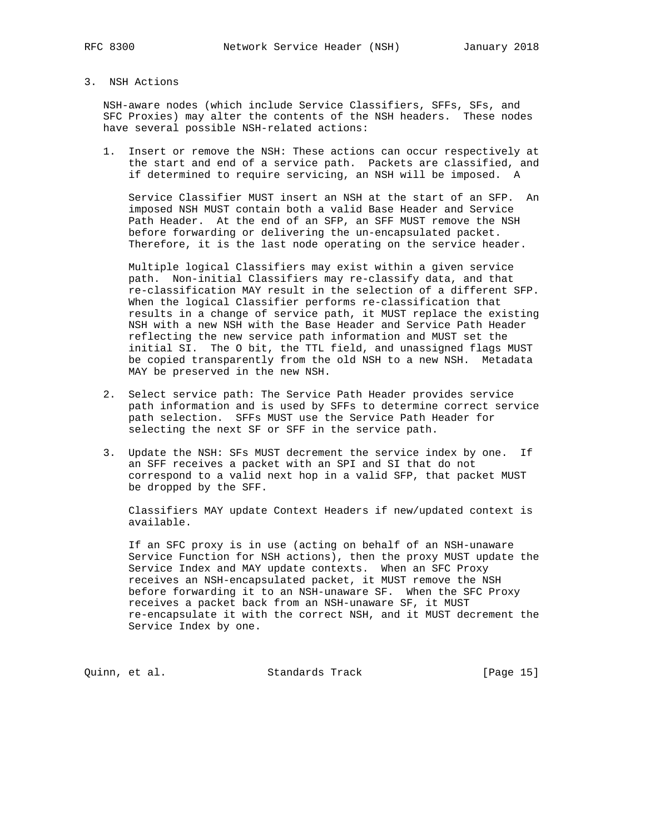## 3. NSH Actions

 NSH-aware nodes (which include Service Classifiers, SFFs, SFs, and SFC Proxies) may alter the contents of the NSH headers. These nodes have several possible NSH-related actions:

 1. Insert or remove the NSH: These actions can occur respectively at the start and end of a service path. Packets are classified, and if determined to require servicing, an NSH will be imposed. A

 Service Classifier MUST insert an NSH at the start of an SFP. An imposed NSH MUST contain both a valid Base Header and Service Path Header. At the end of an SFP, an SFF MUST remove the NSH before forwarding or delivering the un-encapsulated packet. Therefore, it is the last node operating on the service header.

 Multiple logical Classifiers may exist within a given service path. Non-initial Classifiers may re-classify data, and that re-classification MAY result in the selection of a different SFP. When the logical Classifier performs re-classification that results in a change of service path, it MUST replace the existing NSH with a new NSH with the Base Header and Service Path Header reflecting the new service path information and MUST set the initial SI. The O bit, the TTL field, and unassigned flags MUST be copied transparently from the old NSH to a new NSH. Metadata MAY be preserved in the new NSH.

- 2. Select service path: The Service Path Header provides service path information and is used by SFFs to determine correct service path selection. SFFs MUST use the Service Path Header for selecting the next SF or SFF in the service path.
- 3. Update the NSH: SFs MUST decrement the service index by one. If an SFF receives a packet with an SPI and SI that do not correspond to a valid next hop in a valid SFP, that packet MUST be dropped by the SFF.

 Classifiers MAY update Context Headers if new/updated context is available.

 If an SFC proxy is in use (acting on behalf of an NSH-unaware Service Function for NSH actions), then the proxy MUST update the Service Index and MAY update contexts. When an SFC Proxy receives an NSH-encapsulated packet, it MUST remove the NSH before forwarding it to an NSH-unaware SF. When the SFC Proxy receives a packet back from an NSH-unaware SF, it MUST re-encapsulate it with the correct NSH, and it MUST decrement the Service Index by one.

Quinn, et al. Standards Track [Page 15]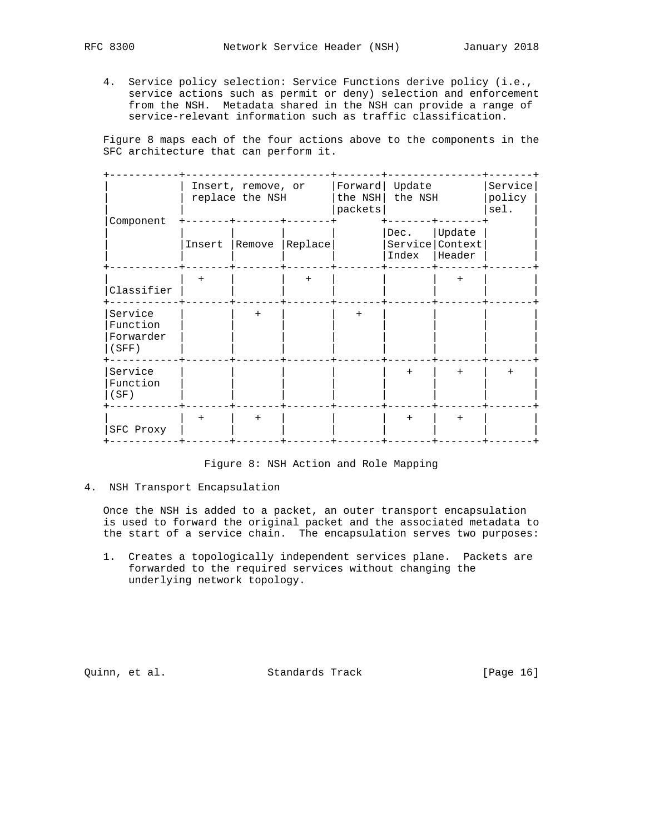- - 4. Service policy selection: Service Functions derive policy (i.e., service actions such as permit or deny) selection and enforcement from the NSH. Metadata shared in the NSH can provide a range of service-relevant information such as traffic classification.

 Figure 8 maps each of the four actions above to the components in the SFC architecture that can perform it.

| Component                                 |        | Insert, remove, or<br>replace the NSH |         | Forward<br>the NSH<br>packets | Update<br>the NSH |                                     | Service<br>policy<br>sel. |
|-------------------------------------------|--------|---------------------------------------|---------|-------------------------------|-------------------|-------------------------------------|---------------------------|
|                                           | Insert | Remove                                | Replace |                               | Dec.<br>Index     | Update<br>Service Context<br>Header |                           |
| Classifier                                | $+$    |                                       | $+$     |                               |                   | $+$                                 |                           |
| Service<br>Function<br>Forwarder<br>(SFF) |        | $+$                                   |         | $+$                           |                   |                                     |                           |
| Service<br>Function<br>(SF)               |        |                                       |         |                               | $+$               | $+$                                 | $+$                       |
| SFC Proxy                                 | $^{+}$ | $+$                                   |         |                               | $+$               | $+$                                 |                           |

## Figure 8: NSH Action and Role Mapping

#### 4. NSH Transport Encapsulation

 Once the NSH is added to a packet, an outer transport encapsulation is used to forward the original packet and the associated metadata to the start of a service chain. The encapsulation serves two purposes:

 1. Creates a topologically independent services plane. Packets are forwarded to the required services without changing the underlying network topology.

Quinn, et al. Standards Track [Page 16]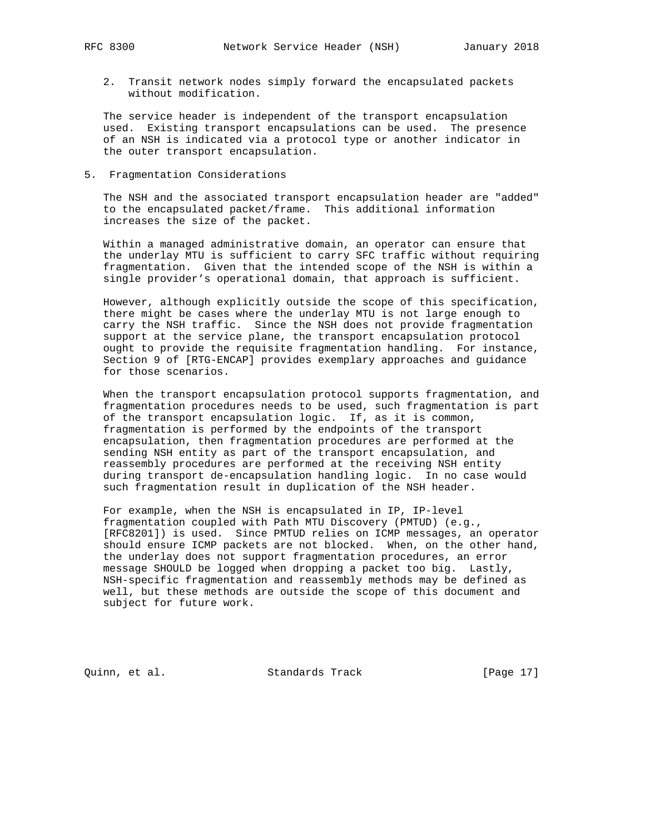2. Transit network nodes simply forward the encapsulated packets without modification.

 The service header is independent of the transport encapsulation used. Existing transport encapsulations can be used. The presence of an NSH is indicated via a protocol type or another indicator in the outer transport encapsulation.

5. Fragmentation Considerations

 The NSH and the associated transport encapsulation header are "added" to the encapsulated packet/frame. This additional information increases the size of the packet.

 Within a managed administrative domain, an operator can ensure that the underlay MTU is sufficient to carry SFC traffic without requiring fragmentation. Given that the intended scope of the NSH is within a single provider's operational domain, that approach is sufficient.

 However, although explicitly outside the scope of this specification, there might be cases where the underlay MTU is not large enough to carry the NSH traffic. Since the NSH does not provide fragmentation support at the service plane, the transport encapsulation protocol ought to provide the requisite fragmentation handling. For instance, Section 9 of [RTG-ENCAP] provides exemplary approaches and guidance for those scenarios.

 When the transport encapsulation protocol supports fragmentation, and fragmentation procedures needs to be used, such fragmentation is part of the transport encapsulation logic. If, as it is common, fragmentation is performed by the endpoints of the transport encapsulation, then fragmentation procedures are performed at the sending NSH entity as part of the transport encapsulation, and reassembly procedures are performed at the receiving NSH entity during transport de-encapsulation handling logic. In no case would such fragmentation result in duplication of the NSH header.

 For example, when the NSH is encapsulated in IP, IP-level fragmentation coupled with Path MTU Discovery (PMTUD) (e.g., [RFC8201]) is used. Since PMTUD relies on ICMP messages, an operator should ensure ICMP packets are not blocked. When, on the other hand, the underlay does not support fragmentation procedures, an error message SHOULD be logged when dropping a packet too big. Lastly, NSH-specific fragmentation and reassembly methods may be defined as well, but these methods are outside the scope of this document and subject for future work.

Quinn, et al. Standards Track [Page 17]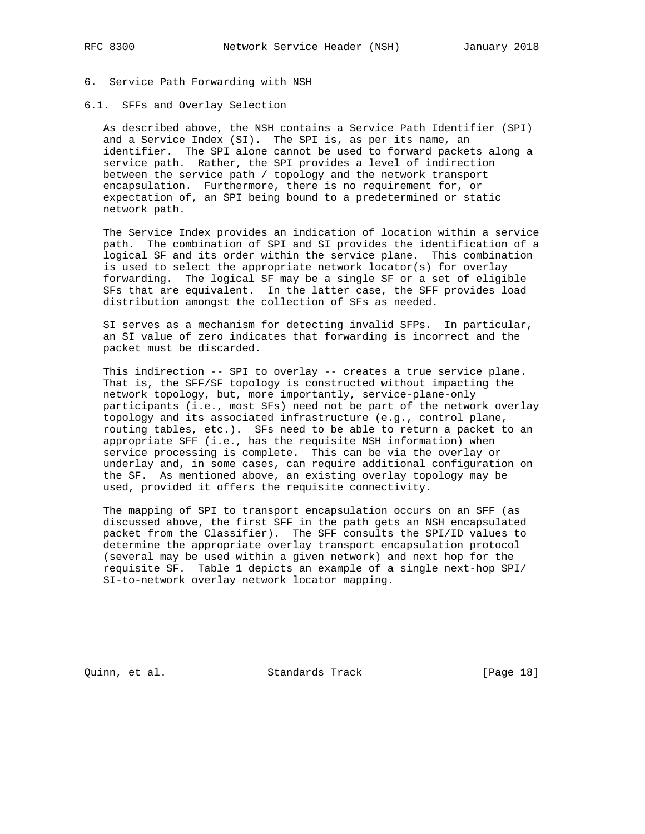## 6. Service Path Forwarding with NSH

#### 6.1. SFFs and Overlay Selection

 As described above, the NSH contains a Service Path Identifier (SPI) and a Service Index (SI). The SPI is, as per its name, an identifier. The SPI alone cannot be used to forward packets along a service path. Rather, the SPI provides a level of indirection between the service path / topology and the network transport encapsulation. Furthermore, there is no requirement for, or expectation of, an SPI being bound to a predetermined or static network path.

 The Service Index provides an indication of location within a service path. The combination of SPI and SI provides the identification of a logical SF and its order within the service plane. This combination is used to select the appropriate network locator(s) for overlay forwarding. The logical SF may be a single SF or a set of eligible SFs that are equivalent. In the latter case, the SFF provides load distribution amongst the collection of SFs as needed.

 SI serves as a mechanism for detecting invalid SFPs. In particular, an SI value of zero indicates that forwarding is incorrect and the packet must be discarded.

 This indirection -- SPI to overlay -- creates a true service plane. That is, the SFF/SF topology is constructed without impacting the network topology, but, more importantly, service-plane-only participants (i.e., most SFs) need not be part of the network overlay topology and its associated infrastructure (e.g., control plane, routing tables, etc.). SFs need to be able to return a packet to an appropriate SFF (i.e., has the requisite NSH information) when service processing is complete. This can be via the overlay or underlay and, in some cases, can require additional configuration on the SF. As mentioned above, an existing overlay topology may be used, provided it offers the requisite connectivity.

 The mapping of SPI to transport encapsulation occurs on an SFF (as discussed above, the first SFF in the path gets an NSH encapsulated packet from the Classifier). The SFF consults the SPI/ID values to determine the appropriate overlay transport encapsulation protocol (several may be used within a given network) and next hop for the requisite SF. Table 1 depicts an example of a single next-hop SPI/ SI-to-network overlay network locator mapping.

Quinn, et al. Standards Track [Page 18]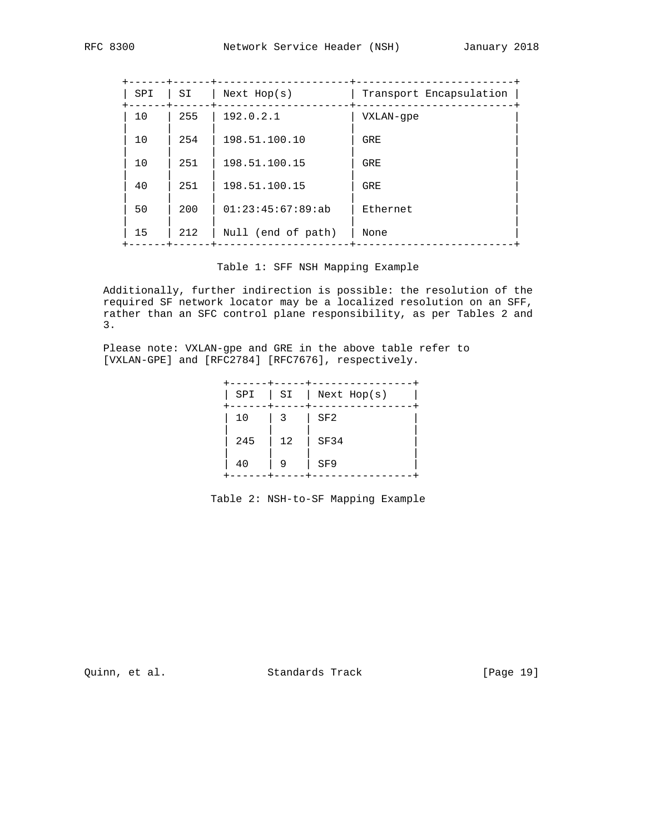| SPI | SI  | Next Hop(s)        | Transport Encapsulation |
|-----|-----|--------------------|-------------------------|
| 10  | 255 | 192.0.2.1          | VXLAN-qpe               |
| 10  | 254 | 198.51.100.10      | GRE                     |
| 10  | 251 | 198.51.100.15      | GRE                     |
| 40  | 251 | 198.51.100.15      | <b>GRE</b>              |
| 50  | 200 | 01:23:45:67:89:ab  | Ethernet                |
| 15  | 212 | Null (end of path) | None                    |
|     |     |                    |                         |

Table 1: SFF NSH Mapping Example

 Additionally, further indirection is possible: the resolution of the required SF network locator may be a localized resolution on an SFF, rather than an SFC control plane responsibility, as per Tables 2 and 3.

 Please note: VXLAN-gpe and GRE in the above table refer to [VXLAN-GPE] and [RFC2784] [RFC7676], respectively.

|     |                      | $SPI$   $SI$   Next Hop(s) |
|-----|----------------------|----------------------------|
|     | $10 \t   3 \t   5F2$ |                            |
| 245 | $\vert$ 12           | SF34                       |
| 40  | - 9                  | SF9                        |

Table 2: NSH-to-SF Mapping Example

Quinn, et al. Standards Track [Page 19]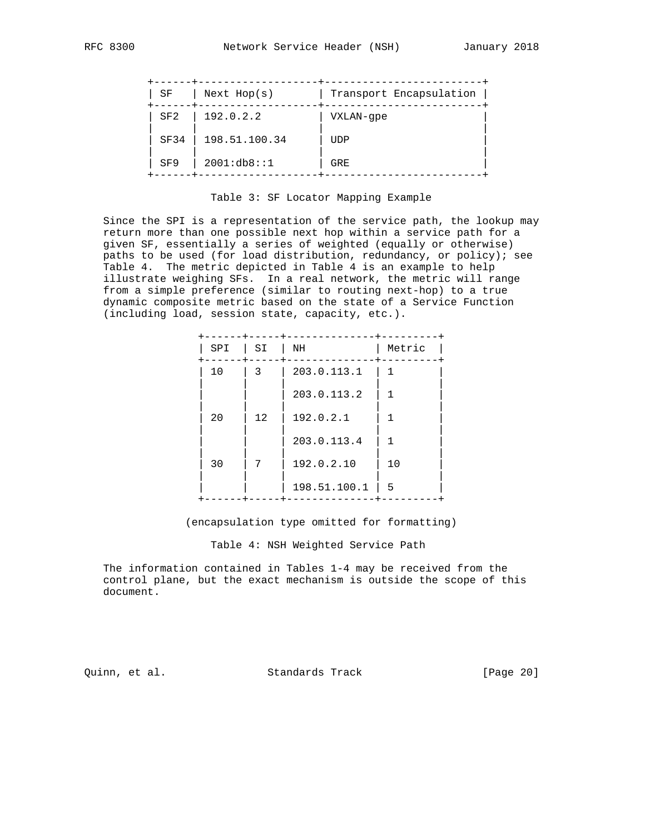| SF              | Next Hop(s)   | Transport Encapsulation |
|-----------------|---------------|-------------------------|
| SF2             | 192.0.2.2     | VXLAN-qpe               |
| SF34            | 198.51.100.34 | UDP                     |
| SF <sub>9</sub> | 2001:db8::1   | GRE                     |

#### Table 3: SF Locator Mapping Example

 Since the SPI is a representation of the service path, the lookup may return more than one possible next hop within a service path for a given SF, essentially a series of weighted (equally or otherwise) paths to be used (for load distribution, redundancy, or policy); see Table 4. The metric depicted in Table 4 is an example to help illustrate weighing SFs. In a real network, the metric will range from a simple preference (similar to routing next-hop) to a true dynamic composite metric based on the state of a Service Function (including load, session state, capacity, etc.).

| SI                    | NH           | Metric |
|-----------------------|--------------|--------|
| 3                     | 203.0.113.1  | 1      |
|                       | 203.0.113.2  |        |
| 12                    | 192.0.2.1    |        |
|                       | 203.0.113.4  |        |
| 7                     | 192.0.2.10   | 10     |
|                       | 198.51.100.1 | - 5    |
| SPI<br>10<br>20<br>30 |              |        |

(encapsulation type omitted for formatting)

Table 4: NSH Weighted Service Path

 The information contained in Tables 1-4 may be received from the control plane, but the exact mechanism is outside the scope of this document.

Quinn, et al. Standards Track [Page 20]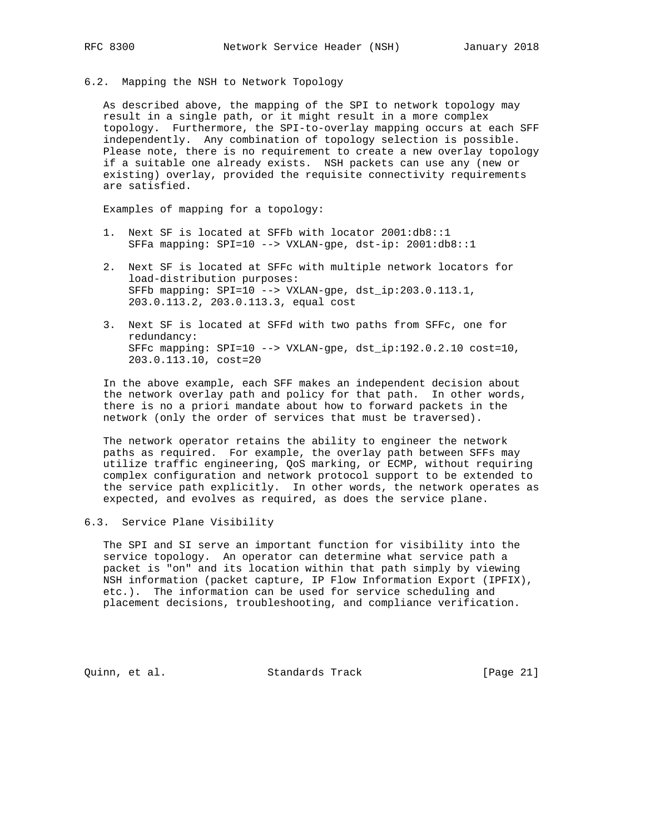6.2. Mapping the NSH to Network Topology

 As described above, the mapping of the SPI to network topology may result in a single path, or it might result in a more complex topology. Furthermore, the SPI-to-overlay mapping occurs at each SFF independently. Any combination of topology selection is possible. Please note, there is no requirement to create a new overlay topology if a suitable one already exists. NSH packets can use any (new or existing) overlay, provided the requisite connectivity requirements are satisfied.

Examples of mapping for a topology:

- 1. Next SF is located at SFFb with locator 2001:db8::1 SFFa mapping: SPI=10 --> VXLAN-gpe, dst-ip: 2001:db8::1
- 2. Next SF is located at SFFc with multiple network locators for load-distribution purposes: SFFb mapping: SPI=10 --> VXLAN-gpe, dst\_ip:203.0.113.1, 203.0.113.2, 203.0.113.3, equal cost
- 3. Next SF is located at SFFd with two paths from SFFc, one for redundancy: SFFc mapping: SPI=10 --> VXLAN-gpe, dst\_ip:192.0.2.10 cost=10, 203.0.113.10, cost=20

 In the above example, each SFF makes an independent decision about the network overlay path and policy for that path. In other words, there is no a priori mandate about how to forward packets in the network (only the order of services that must be traversed).

 The network operator retains the ability to engineer the network paths as required. For example, the overlay path between SFFs may utilize traffic engineering, QoS marking, or ECMP, without requiring complex configuration and network protocol support to be extended to the service path explicitly. In other words, the network operates as expected, and evolves as required, as does the service plane.

### 6.3. Service Plane Visibility

 The SPI and SI serve an important function for visibility into the service topology. An operator can determine what service path a packet is "on" and its location within that path simply by viewing NSH information (packet capture, IP Flow Information Export (IPFIX), etc.). The information can be used for service scheduling and placement decisions, troubleshooting, and compliance verification.

Quinn, et al. Standards Track [Page 21]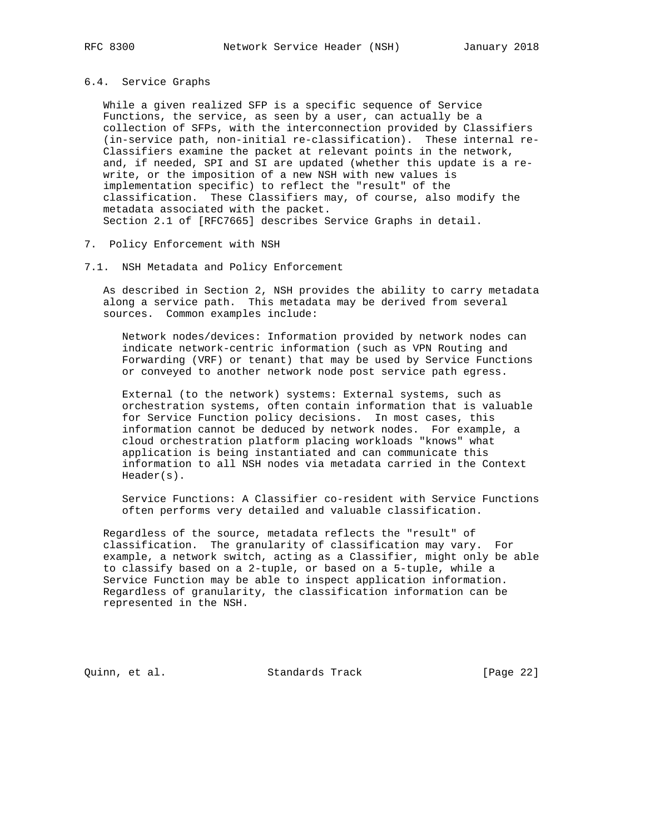#### 6.4. Service Graphs

 While a given realized SFP is a specific sequence of Service Functions, the service, as seen by a user, can actually be a collection of SFPs, with the interconnection provided by Classifiers (in-service path, non-initial re-classification). These internal re- Classifiers examine the packet at relevant points in the network, and, if needed, SPI and SI are updated (whether this update is a re write, or the imposition of a new NSH with new values is implementation specific) to reflect the "result" of the classification. These Classifiers may, of course, also modify the metadata associated with the packet. Section 2.1 of [RFC7665] describes Service Graphs in detail.

- 7. Policy Enforcement with NSH
- 7.1. NSH Metadata and Policy Enforcement

 As described in Section 2, NSH provides the ability to carry metadata along a service path. This metadata may be derived from several sources. Common examples include:

 Network nodes/devices: Information provided by network nodes can indicate network-centric information (such as VPN Routing and Forwarding (VRF) or tenant) that may be used by Service Functions or conveyed to another network node post service path egress.

 External (to the network) systems: External systems, such as orchestration systems, often contain information that is valuable for Service Function policy decisions. In most cases, this information cannot be deduced by network nodes. For example, a cloud orchestration platform placing workloads "knows" what application is being instantiated and can communicate this information to all NSH nodes via metadata carried in the Context Header(s).

 Service Functions: A Classifier co-resident with Service Functions often performs very detailed and valuable classification.

 Regardless of the source, metadata reflects the "result" of classification. The granularity of classification may vary. For example, a network switch, acting as a Classifier, might only be able to classify based on a 2-tuple, or based on a 5-tuple, while a Service Function may be able to inspect application information. Regardless of granularity, the classification information can be represented in the NSH.

Quinn, et al. Standards Track [Page 22]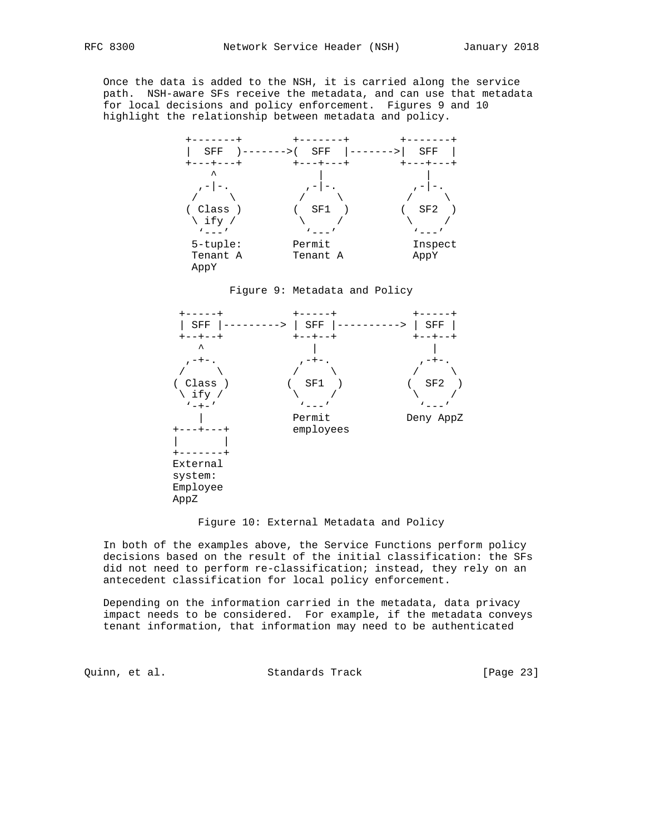Once the data is added to the NSH, it is carried along the service path. NSH-aware SFs receive the metadata, and can use that metadata for local decisions and policy enforcement. Figures 9 and 10 highlight the relationship between metadata and policy.







#### Figure 10: External Metadata and Policy

 In both of the examples above, the Service Functions perform policy decisions based on the result of the initial classification: the SFs did not need to perform re-classification; instead, they rely on an antecedent classification for local policy enforcement.

 Depending on the information carried in the metadata, data privacy impact needs to be considered. For example, if the metadata conveys tenant information, that information may need to be authenticated

Quinn, et al. Standards Track [Page 23]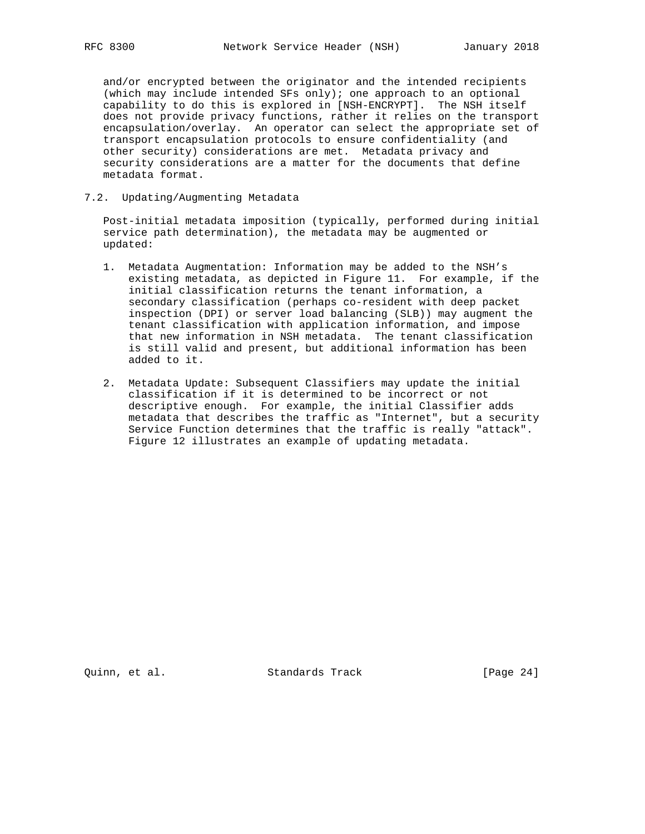and/or encrypted between the originator and the intended recipients (which may include intended SFs only); one approach to an optional capability to do this is explored in [NSH-ENCRYPT]. The NSH itself does not provide privacy functions, rather it relies on the transport encapsulation/overlay. An operator can select the appropriate set of transport encapsulation protocols to ensure confidentiality (and other security) considerations are met. Metadata privacy and security considerations are a matter for the documents that define metadata format.

### 7.2. Updating/Augmenting Metadata

 Post-initial metadata imposition (typically, performed during initial service path determination), the metadata may be augmented or updated:

- 1. Metadata Augmentation: Information may be added to the NSH's existing metadata, as depicted in Figure 11. For example, if the initial classification returns the tenant information, a secondary classification (perhaps co-resident with deep packet inspection (DPI) or server load balancing (SLB)) may augment the tenant classification with application information, and impose that new information in NSH metadata. The tenant classification is still valid and present, but additional information has been added to it.
- 2. Metadata Update: Subsequent Classifiers may update the initial classification if it is determined to be incorrect or not descriptive enough. For example, the initial Classifier adds metadata that describes the traffic as "Internet", but a security Service Function determines that the traffic is really "attack". Figure 12 illustrates an example of updating metadata.

Quinn, et al. Standards Track [Page 24]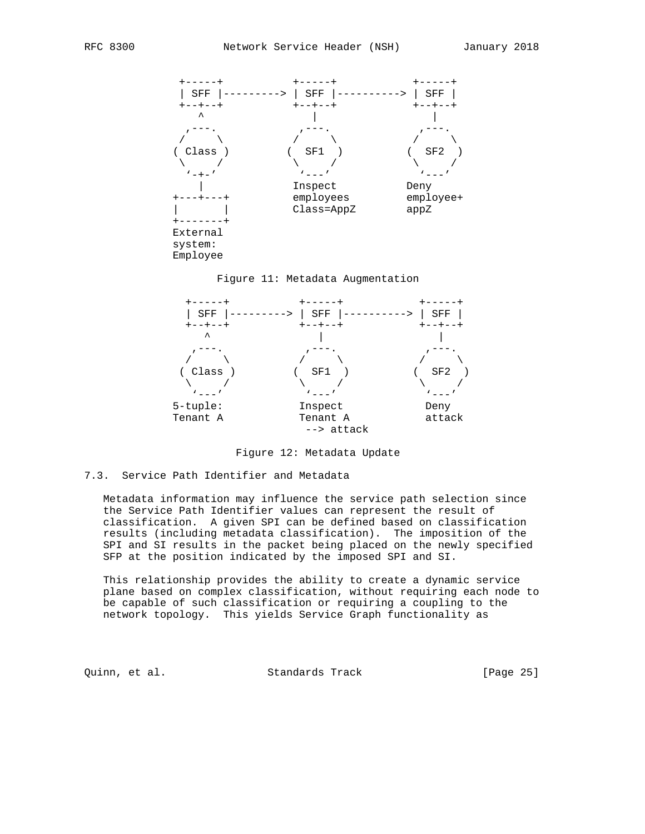





Figure 12: Metadata Update

7.3. Service Path Identifier and Metadata

 Metadata information may influence the service path selection since the Service Path Identifier values can represent the result of classification. A given SPI can be defined based on classification results (including metadata classification). The imposition of the SPI and SI results in the packet being placed on the newly specified SFP at the position indicated by the imposed SPI and SI.

 This relationship provides the ability to create a dynamic service plane based on complex classification, without requiring each node to be capable of such classification or requiring a coupling to the network topology. This yields Service Graph functionality as

Quinn, et al. Standards Track [Page 25]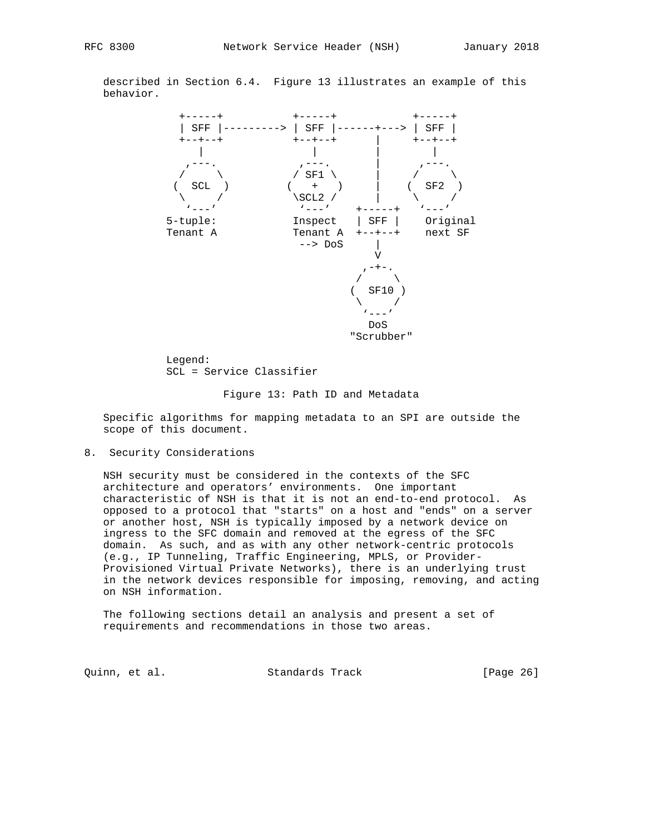described in Section 6.4. Figure 13 illustrates an example of this behavior.



 Legend: SCL = Service Classifier

#### Figure 13: Path ID and Metadata

 Specific algorithms for mapping metadata to an SPI are outside the scope of this document.

8. Security Considerations

 NSH security must be considered in the contexts of the SFC architecture and operators' environments. One important characteristic of NSH is that it is not an end-to-end protocol. As opposed to a protocol that "starts" on a host and "ends" on a server or another host, NSH is typically imposed by a network device on ingress to the SFC domain and removed at the egress of the SFC domain. As such, and as with any other network-centric protocols (e.g., IP Tunneling, Traffic Engineering, MPLS, or Provider- Provisioned Virtual Private Networks), there is an underlying trust in the network devices responsible for imposing, removing, and acting on NSH information.

 The following sections detail an analysis and present a set of requirements and recommendations in those two areas.

Quinn, et al. Standards Track [Page 26]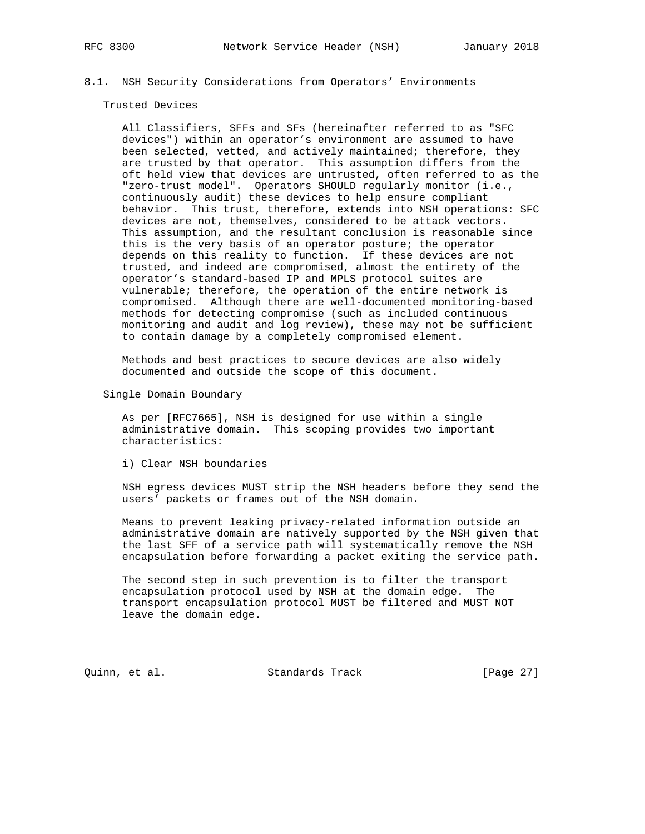## 8.1. NSH Security Considerations from Operators' Environments

#### Trusted Devices

 All Classifiers, SFFs and SFs (hereinafter referred to as "SFC devices") within an operator's environment are assumed to have been selected, vetted, and actively maintained; therefore, they are trusted by that operator. This assumption differs from the oft held view that devices are untrusted, often referred to as the "zero-trust model". Operators SHOULD regularly monitor (i.e., continuously audit) these devices to help ensure compliant behavior. This trust, therefore, extends into NSH operations: SFC devices are not, themselves, considered to be attack vectors. This assumption, and the resultant conclusion is reasonable since this is the very basis of an operator posture; the operator depends on this reality to function. If these devices are not trusted, and indeed are compromised, almost the entirety of the operator's standard-based IP and MPLS protocol suites are vulnerable; therefore, the operation of the entire network is compromised. Although there are well-documented monitoring-based methods for detecting compromise (such as included continuous monitoring and audit and log review), these may not be sufficient to contain damage by a completely compromised element.

 Methods and best practices to secure devices are also widely documented and outside the scope of this document.

Single Domain Boundary

 As per [RFC7665], NSH is designed for use within a single administrative domain. This scoping provides two important characteristics:

i) Clear NSH boundaries

 NSH egress devices MUST strip the NSH headers before they send the users' packets or frames out of the NSH domain.

 Means to prevent leaking privacy-related information outside an administrative domain are natively supported by the NSH given that the last SFF of a service path will systematically remove the NSH encapsulation before forwarding a packet exiting the service path.

 The second step in such prevention is to filter the transport encapsulation protocol used by NSH at the domain edge. The transport encapsulation protocol MUST be filtered and MUST NOT leave the domain edge.

Quinn, et al. Standards Track [Page 27]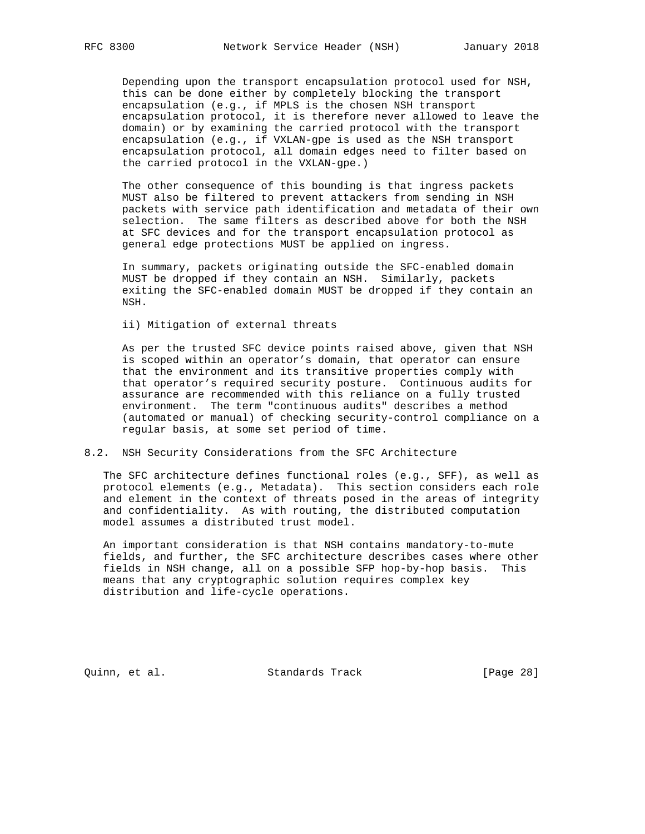Depending upon the transport encapsulation protocol used for NSH, this can be done either by completely blocking the transport encapsulation (e.g., if MPLS is the chosen NSH transport encapsulation protocol, it is therefore never allowed to leave the domain) or by examining the carried protocol with the transport encapsulation (e.g., if VXLAN-gpe is used as the NSH transport encapsulation protocol, all domain edges need to filter based on the carried protocol in the VXLAN-gpe.)

 The other consequence of this bounding is that ingress packets MUST also be filtered to prevent attackers from sending in NSH packets with service path identification and metadata of their own selection. The same filters as described above for both the NSH at SFC devices and for the transport encapsulation protocol as general edge protections MUST be applied on ingress.

 In summary, packets originating outside the SFC-enabled domain MUST be dropped if they contain an NSH. Similarly, packets exiting the SFC-enabled domain MUST be dropped if they contain an NSH.

ii) Mitigation of external threats

 As per the trusted SFC device points raised above, given that NSH is scoped within an operator's domain, that operator can ensure that the environment and its transitive properties comply with that operator's required security posture. Continuous audits for assurance are recommended with this reliance on a fully trusted environment. The term "continuous audits" describes a method (automated or manual) of checking security-control compliance on a regular basis, at some set period of time.

#### 8.2. NSH Security Considerations from the SFC Architecture

 The SFC architecture defines functional roles (e.g., SFF), as well as protocol elements (e.g., Metadata). This section considers each role and element in the context of threats posed in the areas of integrity and confidentiality. As with routing, the distributed computation model assumes a distributed trust model.

 An important consideration is that NSH contains mandatory-to-mute fields, and further, the SFC architecture describes cases where other fields in NSH change, all on a possible SFP hop-by-hop basis. This means that any cryptographic solution requires complex key distribution and life-cycle operations.

Quinn, et al. Standards Track [Page 28]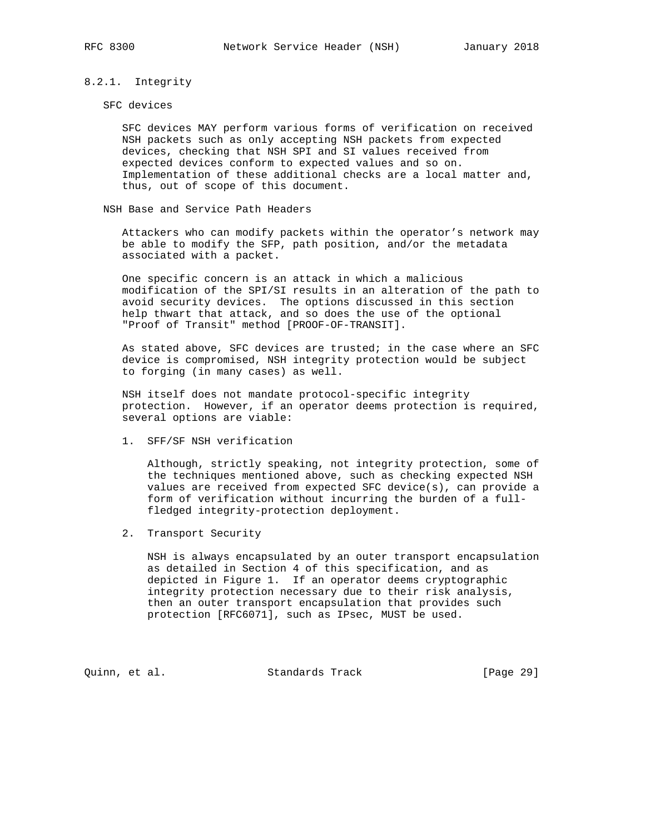### 8.2.1. Integrity

#### SFC devices

 SFC devices MAY perform various forms of verification on received NSH packets such as only accepting NSH packets from expected devices, checking that NSH SPI and SI values received from expected devices conform to expected values and so on. Implementation of these additional checks are a local matter and, thus, out of scope of this document.

NSH Base and Service Path Headers

 Attackers who can modify packets within the operator's network may be able to modify the SFP, path position, and/or the metadata associated with a packet.

 One specific concern is an attack in which a malicious modification of the SPI/SI results in an alteration of the path to avoid security devices. The options discussed in this section help thwart that attack, and so does the use of the optional "Proof of Transit" method [PROOF-OF-TRANSIT].

 As stated above, SFC devices are trusted; in the case where an SFC device is compromised, NSH integrity protection would be subject to forging (in many cases) as well.

 NSH itself does not mandate protocol-specific integrity protection. However, if an operator deems protection is required, several options are viable:

1. SFF/SF NSH verification

 Although, strictly speaking, not integrity protection, some of the techniques mentioned above, such as checking expected NSH values are received from expected SFC device(s), can provide a form of verification without incurring the burden of a full fledged integrity-protection deployment.

2. Transport Security

 NSH is always encapsulated by an outer transport encapsulation as detailed in Section 4 of this specification, and as depicted in Figure 1. If an operator deems cryptographic integrity protection necessary due to their risk analysis, then an outer transport encapsulation that provides such protection [RFC6071], such as IPsec, MUST be used.

Quinn, et al. Standards Track [Page 29]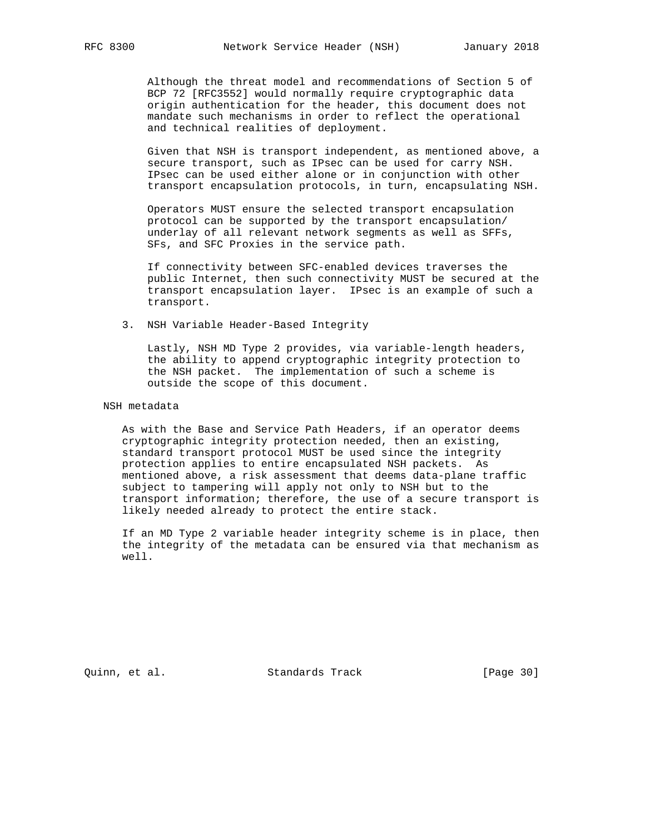Although the threat model and recommendations of Section 5 of BCP 72 [RFC3552] would normally require cryptographic data origin authentication for the header, this document does not mandate such mechanisms in order to reflect the operational and technical realities of deployment.

 Given that NSH is transport independent, as mentioned above, a secure transport, such as IPsec can be used for carry NSH. IPsec can be used either alone or in conjunction with other transport encapsulation protocols, in turn, encapsulating NSH.

 Operators MUST ensure the selected transport encapsulation protocol can be supported by the transport encapsulation/ underlay of all relevant network segments as well as SFFs, SFs, and SFC Proxies in the service path.

 If connectivity between SFC-enabled devices traverses the public Internet, then such connectivity MUST be secured at the transport encapsulation layer. IPsec is an example of such a transport.

3. NSH Variable Header-Based Integrity

 Lastly, NSH MD Type 2 provides, via variable-length headers, the ability to append cryptographic integrity protection to the NSH packet. The implementation of such a scheme is outside the scope of this document.

NSH metadata

 As with the Base and Service Path Headers, if an operator deems cryptographic integrity protection needed, then an existing, standard transport protocol MUST be used since the integrity protection applies to entire encapsulated NSH packets. As mentioned above, a risk assessment that deems data-plane traffic subject to tampering will apply not only to NSH but to the transport information; therefore, the use of a secure transport is likely needed already to protect the entire stack.

 If an MD Type 2 variable header integrity scheme is in place, then the integrity of the metadata can be ensured via that mechanism as well.

Quinn, et al. Standards Track [Page 30]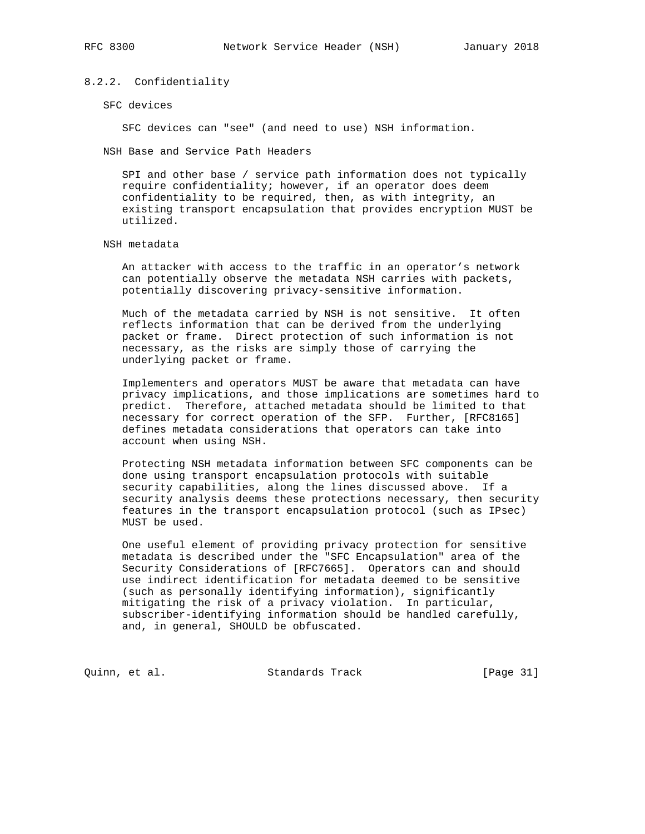## 8.2.2. Confidentiality

SFC devices

SFC devices can "see" (and need to use) NSH information.

NSH Base and Service Path Headers

 SPI and other base / service path information does not typically require confidentiality; however, if an operator does deem confidentiality to be required, then, as with integrity, an existing transport encapsulation that provides encryption MUST be utilized.

#### NSH metadata

 An attacker with access to the traffic in an operator's network can potentially observe the metadata NSH carries with packets, potentially discovering privacy-sensitive information.

 Much of the metadata carried by NSH is not sensitive. It often reflects information that can be derived from the underlying packet or frame. Direct protection of such information is not necessary, as the risks are simply those of carrying the underlying packet or frame.

 Implementers and operators MUST be aware that metadata can have privacy implications, and those implications are sometimes hard to predict. Therefore, attached metadata should be limited to that necessary for correct operation of the SFP. Further, [RFC8165] defines metadata considerations that operators can take into account when using NSH.

 Protecting NSH metadata information between SFC components can be done using transport encapsulation protocols with suitable security capabilities, along the lines discussed above. If a security analysis deems these protections necessary, then security features in the transport encapsulation protocol (such as IPsec) MUST be used.

 One useful element of providing privacy protection for sensitive metadata is described under the "SFC Encapsulation" area of the Security Considerations of [RFC7665]. Operators can and should use indirect identification for metadata deemed to be sensitive (such as personally identifying information), significantly mitigating the risk of a privacy violation. In particular, subscriber-identifying information should be handled carefully, and, in general, SHOULD be obfuscated.

Quinn, et al. Standards Track [Page 31]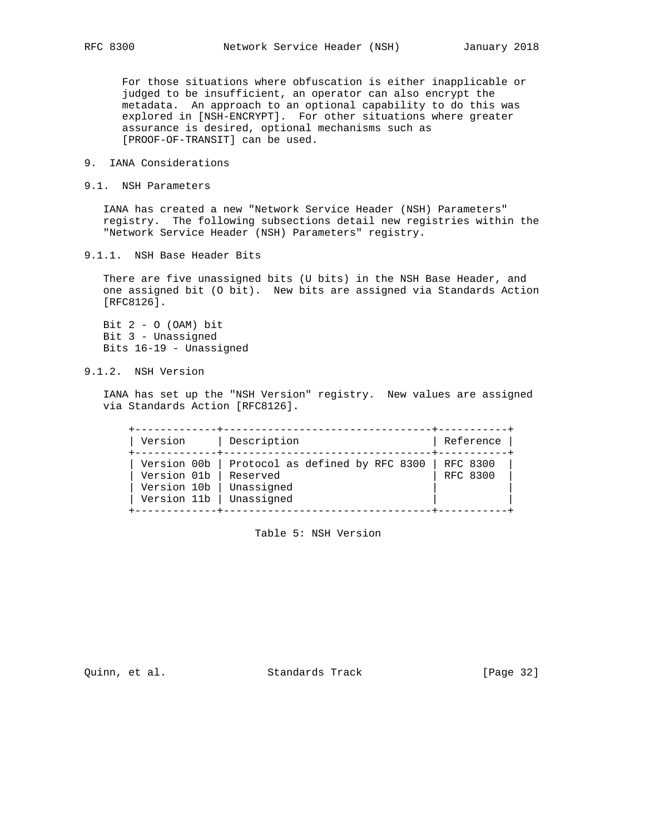For those situations where obfuscation is either inapplicable or judged to be insufficient, an operator can also encrypt the metadata. An approach to an optional capability to do this was explored in [NSH-ENCRYPT]. For other situations where greater assurance is desired, optional mechanisms such as [PROOF-OF-TRANSIT] can be used.

- 9. IANA Considerations
- 9.1. NSH Parameters

 IANA has created a new "Network Service Header (NSH) Parameters" registry. The following subsections detail new registries within the "Network Service Header (NSH) Parameters" registry.

9.1.1. NSH Base Header Bits

 There are five unassigned bits (U bits) in the NSH Base Header, and one assigned bit (O bit). New bits are assigned via Standards Action [RFC8126].

Bit  $2 - 0$  (OAM) bit Bit 3 - Unassigned Bits 16-19 - Unassigned

9.1.2. NSH Version

 IANA has set up the "NSH Version" registry. New values are assigned via Standards Action [RFC8126].

 +-------------+---------------------------------+-----------+ | Version | Description +-------------+---------------------------------+-----------+ | Version 00b | Protocol as defined by RFC 8300 | RFC 8300 | | Version 01b | Reserved | RFC 8300 |  $|$  Version 10b  $|$  Unassigned  $|$  Version 11b  $|$  Unassigned +-------------+---------------------------------+-----------+

Table 5: NSH Version

Quinn, et al. Standards Track [Page 32]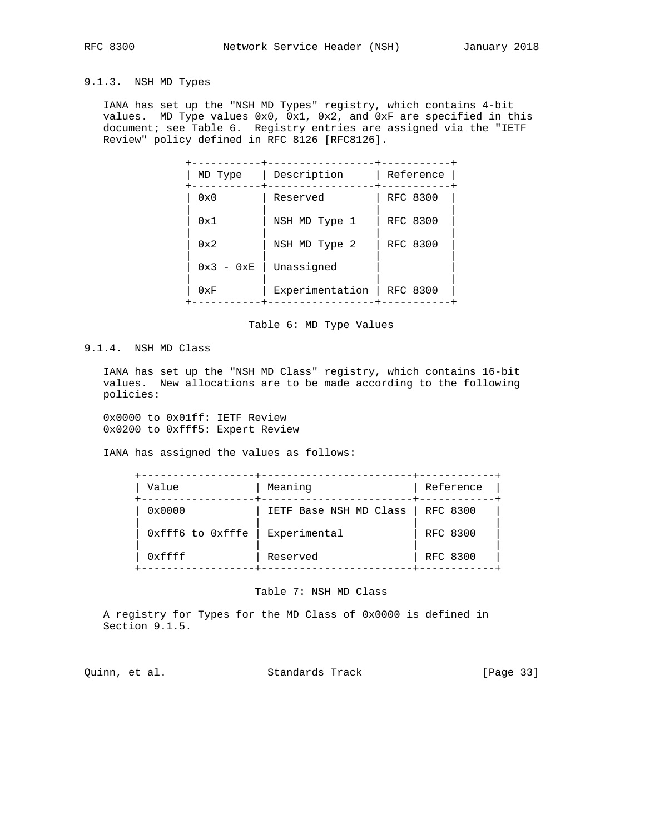## 9.1.3. NSH MD Types

 IANA has set up the "NSH MD Types" registry, which contains 4-bit values. MD Type values 0x0, 0x1, 0x2, and 0xF are specified in this document; see Table 6. Registry entries are assigned via the "IETF Review" policy defined in RFC 8126 [RFC8126].

| MD Type      | Description     | Reference |
|--------------|-----------------|-----------|
| $0 \times 0$ | Reserved        | RFC 8300  |
| 0x1          | NSH MD Type 1   | RFC 8300  |
| 0x2          | NSH MD Type 2   | RFC 8300  |
| $0x3 - 0xE$  | Unassigned      |           |
| 0xF          | Experimentation | RFC 8300  |

Table 6: MD Type Values

## 9.1.4. NSH MD Class

 IANA has set up the "NSH MD Class" registry, which contains 16-bit values. New allocations are to be made according to the following policies:

 0x0000 to 0x01ff: IETF Review 0x0200 to 0xfff5: Expert Review

IANA has assigned the values as follows:

| Value            | Meaning                | Reference |
|------------------|------------------------|-----------|
| 0x0000           | IETF Base NSH MD Class | RFC 8300  |
| Oxfff6 to Oxfffe | Experimental           | RFC 8300  |
| 0xffff           | Reserved               | RFC 8300  |

#### Table 7: NSH MD Class

 A registry for Types for the MD Class of 0x0000 is defined in Section 9.1.5.

Quinn, et al. Standards Track [Page 33]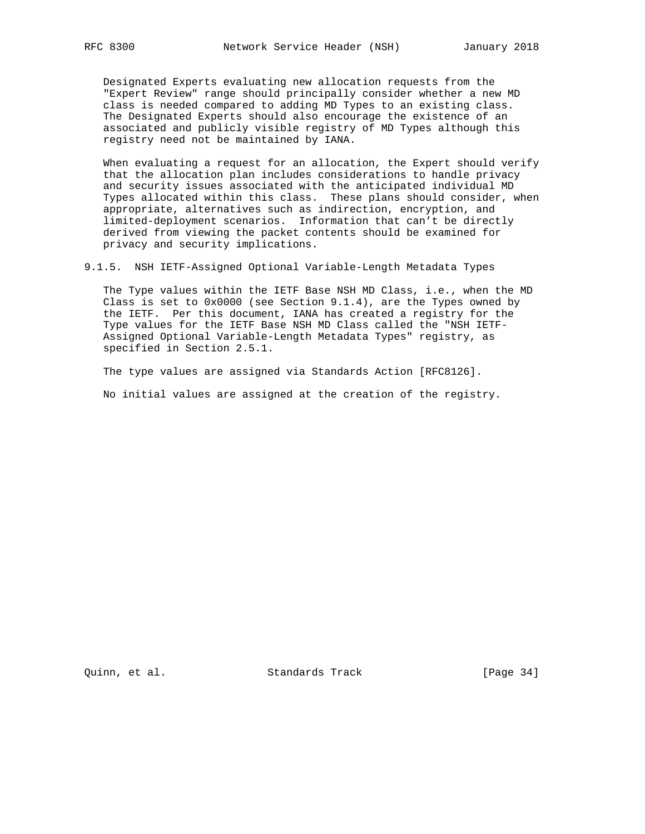Designated Experts evaluating new allocation requests from the "Expert Review" range should principally consider whether a new MD class is needed compared to adding MD Types to an existing class. The Designated Experts should also encourage the existence of an associated and publicly visible registry of MD Types although this registry need not be maintained by IANA.

 When evaluating a request for an allocation, the Expert should verify that the allocation plan includes considerations to handle privacy and security issues associated with the anticipated individual MD Types allocated within this class. These plans should consider, when appropriate, alternatives such as indirection, encryption, and limited-deployment scenarios. Information that can't be directly derived from viewing the packet contents should be examined for privacy and security implications.

9.1.5. NSH IETF-Assigned Optional Variable-Length Metadata Types

 The Type values within the IETF Base NSH MD Class, i.e., when the MD Class is set to  $0x0000$  (see Section  $9.1.4$ ), are the Types owned by the IETF. Per this document, IANA has created a registry for the Type values for the IETF Base NSH MD Class called the "NSH IETF- Assigned Optional Variable-Length Metadata Types" registry, as specified in Section 2.5.1.

The type values are assigned via Standards Action [RFC8126].

No initial values are assigned at the creation of the registry.

Quinn, et al. Standards Track [Page 34]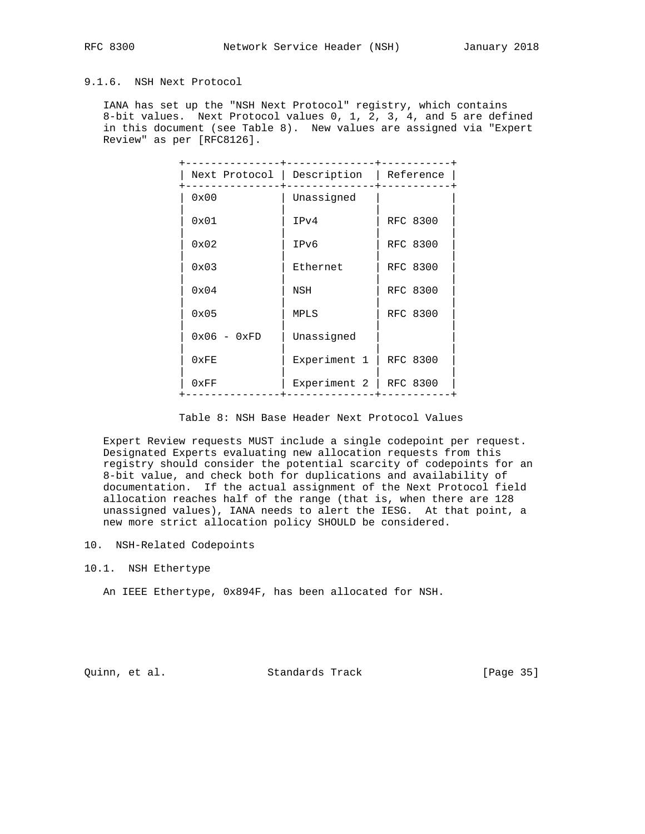## 9.1.6. NSH Next Protocol

 IANA has set up the "NSH Next Protocol" registry, which contains 8-bit values. Next Protocol values 0, 1, 2, 3, 4, and 5 are defined in this document (see Table 8). New values are assigned via "Expert Review" as per [RFC8126].

|               | Next Protocol   Description   Reference |                 |
|---------------|-----------------------------------------|-----------------|
| 0x00          | Unassigned                              |                 |
| 0x01          | IPv4                                    | RFC 8300        |
| $0 \times 02$ | IPv6                                    | <b>RFC 8300</b> |
| 0x03          | Ethernet                                | <b>RFC 8300</b> |
| 0x04          | NSH                                     | <b>RFC 8300</b> |
| 0x05          | <b>MPLS</b>                             | <b>RFC 8300</b> |
| $0x06 - 0xFD$ | Unassigned                              |                 |
| 0xFE          | Experiment 1                            | <b>RFC 8300</b> |
| 0xFF          | Experiment 2                            | <b>RFC 8300</b> |

#### Table 8: NSH Base Header Next Protocol Values

 Expert Review requests MUST include a single codepoint per request. Designated Experts evaluating new allocation requests from this registry should consider the potential scarcity of codepoints for an 8-bit value, and check both for duplications and availability of documentation. If the actual assignment of the Next Protocol field allocation reaches half of the range (that is, when there are 128 unassigned values), IANA needs to alert the IESG. At that point, a new more strict allocation policy SHOULD be considered.

- 10. NSH-Related Codepoints
- 10.1. NSH Ethertype

An IEEE Ethertype, 0x894F, has been allocated for NSH.

Quinn, et al. Standards Track [Page 35]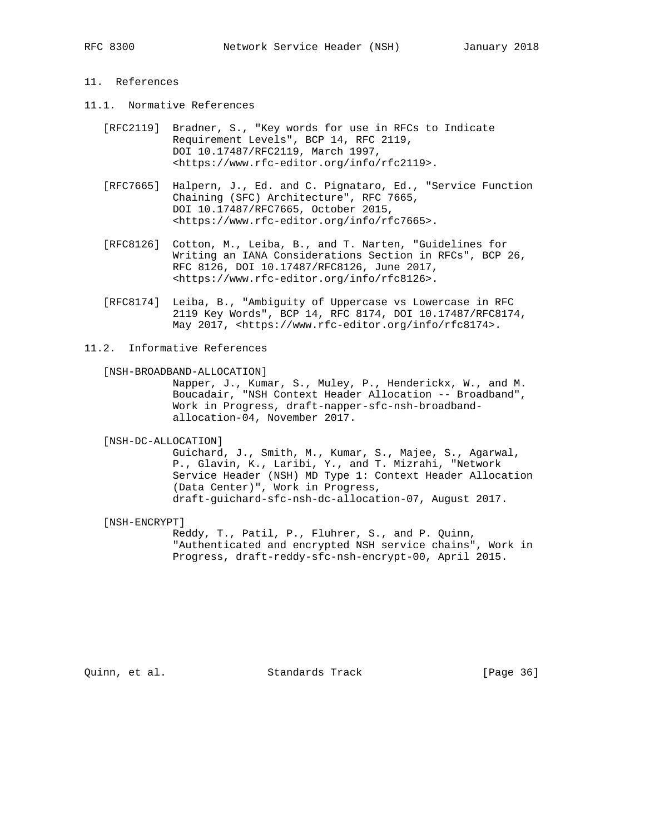## 11. References

- 11.1. Normative References
	- [RFC2119] Bradner, S., "Key words for use in RFCs to Indicate Requirement Levels", BCP 14, RFC 2119, DOI 10.17487/RFC2119, March 1997, <https://www.rfc-editor.org/info/rfc2119>.
	- [RFC7665] Halpern, J., Ed. and C. Pignataro, Ed., "Service Function Chaining (SFC) Architecture", RFC 7665, DOI 10.17487/RFC7665, October 2015, <https://www.rfc-editor.org/info/rfc7665>.
	- [RFC8126] Cotton, M., Leiba, B., and T. Narten, "Guidelines for Writing an IANA Considerations Section in RFCs", BCP 26, RFC 8126, DOI 10.17487/RFC8126, June 2017, <https://www.rfc-editor.org/info/rfc8126>.
	- [RFC8174] Leiba, B., "Ambiguity of Uppercase vs Lowercase in RFC 2119 Key Words", BCP 14, RFC 8174, DOI 10.17487/RFC8174, May 2017, <https://www.rfc-editor.org/info/rfc8174>.
- 11.2. Informative References

#### [NSH-BROADBAND-ALLOCATION]

 Napper, J., Kumar, S., Muley, P., Henderickx, W., and M. Boucadair, "NSH Context Header Allocation -- Broadband", Work in Progress, draft-napper-sfc-nsh-broadband allocation-04, November 2017.

#### [NSH-DC-ALLOCATION]

 Guichard, J., Smith, M., Kumar, S., Majee, S., Agarwal, P., Glavin, K., Laribi, Y., and T. Mizrahi, "Network Service Header (NSH) MD Type 1: Context Header Allocation (Data Center)", Work in Progress, draft-guichard-sfc-nsh-dc-allocation-07, August 2017.

[NSH-ENCRYPT]

 Reddy, T., Patil, P., Fluhrer, S., and P. Quinn, "Authenticated and encrypted NSH service chains", Work in Progress, draft-reddy-sfc-nsh-encrypt-00, April 2015.

Quinn, et al. Standards Track [Page 36]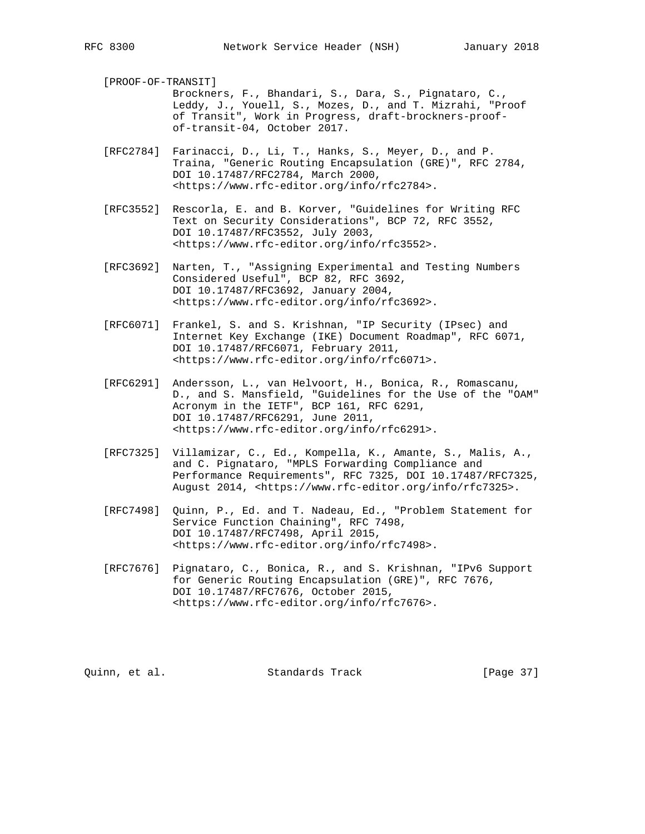[PROOF-OF-TRANSIT]

 Brockners, F., Bhandari, S., Dara, S., Pignataro, C., Leddy, J., Youell, S., Mozes, D., and T. Mizrahi, "Proof of Transit", Work in Progress, draft-brockners-proof of-transit-04, October 2017.

 [RFC2784] Farinacci, D., Li, T., Hanks, S., Meyer, D., and P. Traina, "Generic Routing Encapsulation (GRE)", RFC 2784, DOI 10.17487/RFC2784, March 2000, <https://www.rfc-editor.org/info/rfc2784>.

- [RFC3552] Rescorla, E. and B. Korver, "Guidelines for Writing RFC Text on Security Considerations", BCP 72, RFC 3552, DOI 10.17487/RFC3552, July 2003, <https://www.rfc-editor.org/info/rfc3552>.
- [RFC3692] Narten, T., "Assigning Experimental and Testing Numbers Considered Useful", BCP 82, RFC 3692, DOI 10.17487/RFC3692, January 2004, <https://www.rfc-editor.org/info/rfc3692>.
- [RFC6071] Frankel, S. and S. Krishnan, "IP Security (IPsec) and Internet Key Exchange (IKE) Document Roadmap", RFC 6071, DOI 10.17487/RFC6071, February 2011, <https://www.rfc-editor.org/info/rfc6071>.
- [RFC6291] Andersson, L., van Helvoort, H., Bonica, R., Romascanu, D., and S. Mansfield, "Guidelines for the Use of the "OAM" Acronym in the IETF", BCP 161, RFC 6291, DOI 10.17487/RFC6291, June 2011, <https://www.rfc-editor.org/info/rfc6291>.
- [RFC7325] Villamizar, C., Ed., Kompella, K., Amante, S., Malis, A., and C. Pignataro, "MPLS Forwarding Compliance and Performance Requirements", RFC 7325, DOI 10.17487/RFC7325, August 2014, <https://www.rfc-editor.org/info/rfc7325>.
- [RFC7498] Quinn, P., Ed. and T. Nadeau, Ed., "Problem Statement for Service Function Chaining", RFC 7498, DOI 10.17487/RFC7498, April 2015, <https://www.rfc-editor.org/info/rfc7498>.
- [RFC7676] Pignataro, C., Bonica, R., and S. Krishnan, "IPv6 Support for Generic Routing Encapsulation (GRE)", RFC 7676, DOI 10.17487/RFC7676, October 2015, <https://www.rfc-editor.org/info/rfc7676>.

Quinn, et al. Standards Track [Page 37]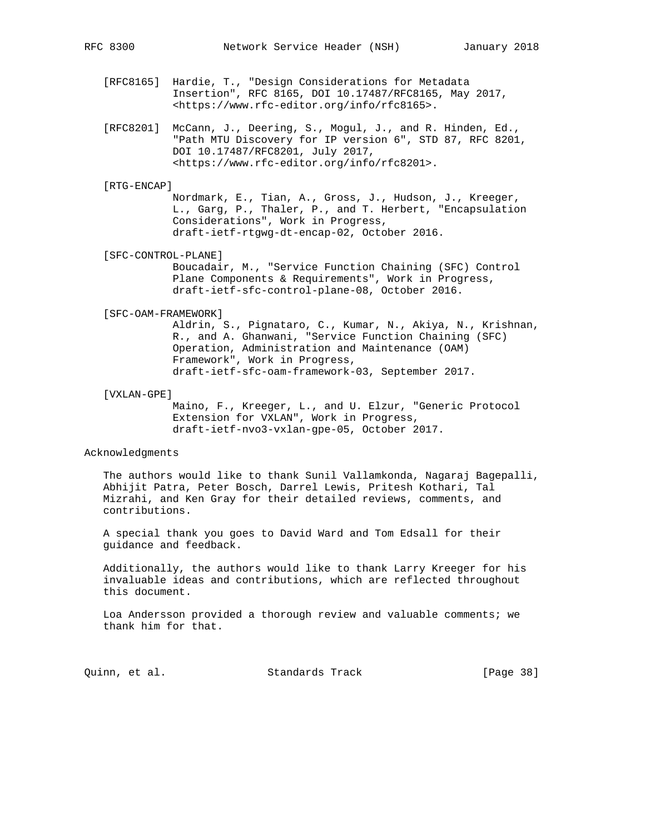- [RFC8165] Hardie, T., "Design Considerations for Metadata Insertion", RFC 8165, DOI 10.17487/RFC8165, May 2017, <https://www.rfc-editor.org/info/rfc8165>.
- [RFC8201] McCann, J., Deering, S., Mogul, J., and R. Hinden, Ed., "Path MTU Discovery for IP version 6", STD 87, RFC 8201, DOI 10.17487/RFC8201, July 2017, <https://www.rfc-editor.org/info/rfc8201>.

#### [RTG-ENCAP]

 Nordmark, E., Tian, A., Gross, J., Hudson, J., Kreeger, L., Garg, P., Thaler, P., and T. Herbert, "Encapsulation Considerations", Work in Progress, draft-ietf-rtgwg-dt-encap-02, October 2016.

[SFC-CONTROL-PLANE]

 Boucadair, M., "Service Function Chaining (SFC) Control Plane Components & Requirements", Work in Progress, draft-ietf-sfc-control-plane-08, October 2016.

#### [SFC-OAM-FRAMEWORK]

 Aldrin, S., Pignataro, C., Kumar, N., Akiya, N., Krishnan, R., and A. Ghanwani, "Service Function Chaining (SFC) Operation, Administration and Maintenance (OAM) Framework", Work in Progress, draft-ietf-sfc-oam-framework-03, September 2017.

#### [VXLAN-GPE]

 Maino, F., Kreeger, L., and U. Elzur, "Generic Protocol Extension for VXLAN", Work in Progress, draft-ietf-nvo3-vxlan-gpe-05, October 2017.

#### Acknowledgments

 The authors would like to thank Sunil Vallamkonda, Nagaraj Bagepalli, Abhijit Patra, Peter Bosch, Darrel Lewis, Pritesh Kothari, Tal Mizrahi, and Ken Gray for their detailed reviews, comments, and contributions.

 A special thank you goes to David Ward and Tom Edsall for their guidance and feedback.

 Additionally, the authors would like to thank Larry Kreeger for his invaluable ideas and contributions, which are reflected throughout this document.

 Loa Andersson provided a thorough review and valuable comments; we thank him for that.

Quinn, et al. Standards Track [Page 38]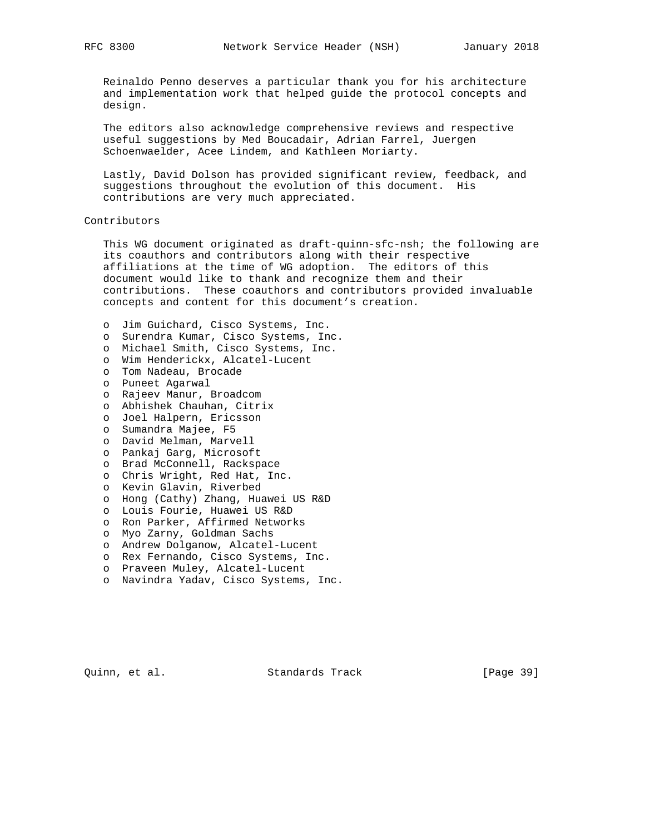Reinaldo Penno deserves a particular thank you for his architecture and implementation work that helped guide the protocol concepts and design.

 The editors also acknowledge comprehensive reviews and respective useful suggestions by Med Boucadair, Adrian Farrel, Juergen Schoenwaelder, Acee Lindem, and Kathleen Moriarty.

 Lastly, David Dolson has provided significant review, feedback, and suggestions throughout the evolution of this document. His contributions are very much appreciated.

#### Contributors

 This WG document originated as draft-quinn-sfc-nsh; the following are its coauthors and contributors along with their respective affiliations at the time of WG adoption. The editors of this document would like to thank and recognize them and their contributions. These coauthors and contributors provided invaluable concepts and content for this document's creation.

 o Jim Guichard, Cisco Systems, Inc. o Surendra Kumar, Cisco Systems, Inc. o Michael Smith, Cisco Systems, Inc. o Wim Henderickx, Alcatel-Lucent o Tom Nadeau, Brocade o Puneet Agarwal o Rajeev Manur, Broadcom o Abhishek Chauhan, Citrix o Joel Halpern, Ericsson o Sumandra Majee, F5 o David Melman, Marvell o Pankaj Garg, Microsoft o Brad McConnell, Rackspace o Chris Wright, Red Hat, Inc. o Kevin Glavin, Riverbed o Hong (Cathy) Zhang, Huawei US R&D o Louis Fourie, Huawei US R&D o Ron Parker, Affirmed Networks o Myo Zarny, Goldman Sachs o Andrew Dolganow, Alcatel-Lucent o Rex Fernando, Cisco Systems, Inc. o Praveen Muley, Alcatel-Lucent o Navindra Yadav, Cisco Systems, Inc.

Quinn, et al. Standards Track [Page 39]